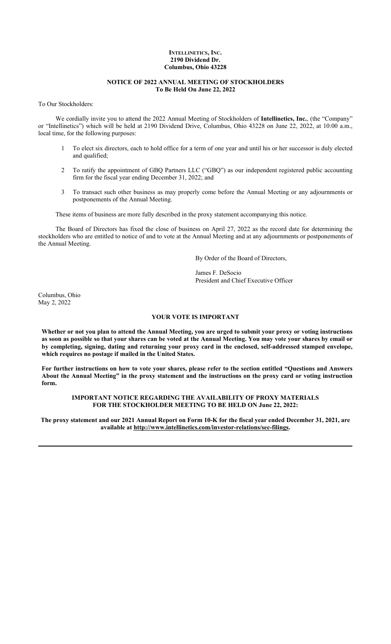## **INTELLINETICS, INC. 2190 Dividend Dr. Columbus, Ohio 43228**

## **NOTICE OF 2022 ANNUAL MEETING OF STOCKHOLDERS To Be Held On June 22, 2022**

To Our Stockholders:

We cordially invite you to attend the 2022 Annual Meeting of Stockholders of **Intellinetics, Inc.**, (the "Company" or "Intellinetics") which will be held at 2190 Dividend Drive, Columbus, Ohio 43228 on June 22, 2022, at 10:00 a.m., local time, for the following purposes:

- 1 To elect six directors, each to hold office for a term of one year and until his or her successor is duly elected and qualified;
- 2 To ratify the appointment of GBQ Partners LLC ("GBQ") as our independent registered public accounting firm for the fiscal year ending December 31, 2022; and
- 3 To transact such other business as may properly come before the Annual Meeting or any adjournments or postponements of the Annual Meeting.

These items of business are more fully described in the proxy statement accompanying this notice.

The Board of Directors has fixed the close of business on April 27, 2022 as the record date for determining the stockholders who are entitled to notice of and to vote at the Annual Meeting and at any adjournments or postponements of the Annual Meeting.

By Order of the Board of Directors,

James F. DeSocio President and Chief Executive Officer

Columbus, Ohio May 2, 2022

# **YOUR VOTE IS IMPORTANT**

**Whether or not you plan to attend the Annual Meeting, you are urged to submit your proxy or voting instructions as soon as possible so that your shares can be voted at the Annual Meeting. You may vote your shares by email or by completing, signing, dating and returning your proxy card in the enclosed, self-addressed stamped envelope, which requires no postage if mailed in the United States.**

**For further instructions on how to vote your shares, please refer to the section entitled "Questions and Answers About the Annual Meeting" in the proxy statement and the instructions on the proxy card or voting instruction form.**

**IMPORTANT NOTICE REGARDING THE AVAILABILITY OF PROXY MATERIALS FOR THE STOCKHOLDER MEETING TO BE HELD ON June 22, 2022:**

**The proxy statement and our 2021 Annual Report on Form 10-K for the fiscal year ended December 31, 2021, are available at http://www.intellinetics.com/investor-relations/sec-filings.**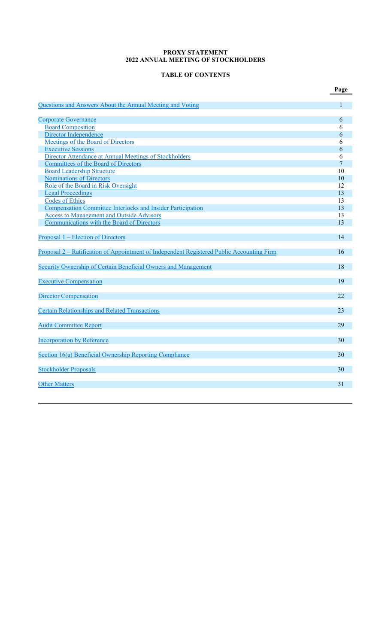# **PROXY STATEMENT 2022 ANNUAL MEETING OF STOCKHOLDERS**

# **TABLE OF CONTENTS**

|                                                                                           | Page |
|-------------------------------------------------------------------------------------------|------|
| Questions and Answers About the Annual Meeting and Voting                                 | 1    |
|                                                                                           |      |
| <b>Corporate Governance</b>                                                               | 6    |
| <b>Board Composition</b>                                                                  | 6    |
| Director Independence                                                                     | 6    |
| Meetings of the Board of Directors                                                        | 6    |
| <b>Executive Sessions</b>                                                                 | 6    |
| Director Attendance at Annual Meetings of Stockholders                                    | 6    |
| <b>Committees of the Board of Directors</b>                                               | 7    |
| <b>Board Leadership Structure</b>                                                         | 10   |
| <b>Nominations of Directors</b>                                                           | 10   |
| Role of the Board in Risk Oversight                                                       | 12   |
| <b>Legal Proceedings</b>                                                                  | 13   |
| <b>Codes of Ethics</b>                                                                    | 13   |
| Compensation Committee Interlocks and Insider Participation                               | 13   |
| <b>Access to Management and Outside Advisors</b>                                          | 13   |
| Communications with the Board of Directors                                                | 13   |
| Proposal 1 – Election of Directors                                                        | 14   |
|                                                                                           |      |
| Proposal 2 – Ratification of Appointment of Independent Registered Public Accounting Firm | 16   |
| Security Ownership of Certain Beneficial Owners and Management                            | 18   |
|                                                                                           |      |
| <b>Executive Compensation</b>                                                             | 19   |
|                                                                                           |      |
| <b>Director Compensation</b>                                                              | 22   |
| <b>Certain Relationships and Related Transactions</b>                                     | 23   |
|                                                                                           |      |
| <b>Audit Committee Report</b>                                                             | 29   |
| <b>Incorporation by Reference</b>                                                         | 30   |
|                                                                                           |      |
| Section 16(a) Beneficial Ownership Reporting Compliance                                   | 30   |
|                                                                                           | 30   |
| <b>Stockholder Proposals</b>                                                              |      |
| <b>Other Matters</b>                                                                      | 31   |
|                                                                                           |      |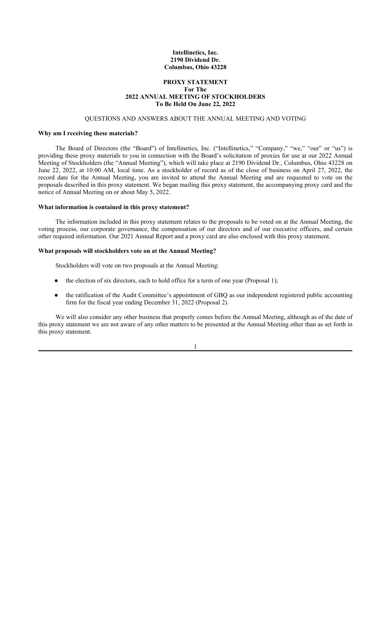## **Intellinetics, Inc. 2190 Dividend Dr. Columbus, Ohio 43228**

## **PROXY STATEMENT For The 2022 ANNUAL MEETING OF STOCKHOLDERS To Be Held On June 22, 2022**

## QUESTIONS AND ANSWERS ABOUT THE ANNUAL MEETING AND VOTING

### **Why am I receiving these materials?**

The Board of Directors (the "Board") of Intellinetics, Inc. ("Intellinetics," "Company," "we," "our" or "us") is providing these proxy materials to you in connection with the Board's solicitation of proxies for use at our 2022 Annual Meeting of Stockholders (the "Annual Meeting"), which will take place at 2190 Dividend Dr., Columbus, Ohio 43228 on June 22, 2022, at 10:00 AM, local time. As a stockholder of record as of the close of business on April 27, 2022, the record date for the Annual Meeting, you are invited to attend the Annual Meeting and are requested to vote on the proposals described in this proxy statement. We began mailing this proxy statement, the accompanying proxy card and the notice of Annual Meeting on or about May 5, 2022.

#### **What information is contained in this proxy statement?**

The information included in this proxy statement relates to the proposals to be voted on at the Annual Meeting, the voting process, our corporate governance, the compensation of our directors and of our executive officers, and certain other required information. Our 2021 Annual Report and a proxy card are also enclosed with this proxy statement.

#### **What proposals will stockholders vote on at the Annual Meeting?**

Stockholders will vote on two proposals at the Annual Meeting:

- the election of six directors, each to hold office for a term of one year (Proposal 1);
- the ratification of the Audit Committee's appointment of GBQ as our independent registered public accounting firm for the fiscal year ending December 31, 2022 (Proposal 2).

We will also consider any other business that properly comes before the Annual Meeting, although as of the date of this proxy statement we are not aware of any other matters to be presented at the Annual Meeting other than as set forth in this proxy statement.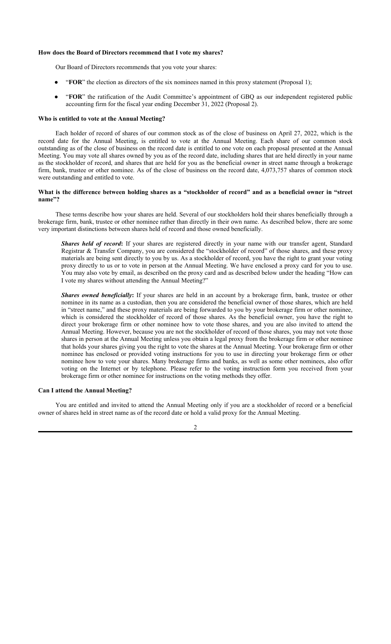#### **How does the Board of Directors recommend that I vote my shares?**

Our Board of Directors recommends that you vote your shares:

- "**FOR**" the election as directors of the six nominees named in this proxy statement (Proposal 1);
- "FOR" the ratification of the Audit Committee's appointment of GBQ as our independent registered public accounting firm for the fiscal year ending December 31, 2022 (Proposal 2).

#### **Who is entitled to vote at the Annual Meeting?**

Each holder of record of shares of our common stock as of the close of business on April 27, 2022, which is the record date for the Annual Meeting, is entitled to vote at the Annual Meeting. Each share of our common stock outstanding as of the close of business on the record date is entitled to one vote on each proposal presented at the Annual Meeting. You may vote all shares owned by you as of the record date, including shares that are held directly in your name as the stockholder of record, and shares that are held for you as the beneficial owner in street name through a brokerage firm, bank, trustee or other nominee. As of the close of business on the record date, 4,073,757 shares of common stock were outstanding and entitled to vote.

## **What is the difference between holding shares as a "stockholder of record" and as a beneficial owner in "street name"?**

These terms describe how your shares are held. Several of our stockholders hold their shares beneficially through a brokerage firm, bank, trustee or other nominee rather than directly in their own name. As described below, there are some very important distinctions between shares held of record and those owned beneficially.

*Shares held of record***:** If your shares are registered directly in your name with our transfer agent, Standard Registrar & Transfer Company, you are considered the "stockholder of record" of those shares, and these proxy materials are being sent directly to you by us. As a stockholder of record, you have the right to grant your voting proxy directly to us or to vote in person at the Annual Meeting. We have enclosed a proxy card for you to use. You may also vote by email, as described on the proxy card and as described below under the heading "How can I vote my shares without attending the Annual Meeting?"

*Shares owned beneficially***:** If your shares are held in an account by a brokerage firm, bank, trustee or other nominee in its name as a custodian, then you are considered the beneficial owner of those shares, which are held in "street name," and these proxy materials are being forwarded to you by your brokerage firm or other nominee, which is considered the stockholder of record of those shares. As the beneficial owner, you have the right to direct your brokerage firm or other nominee how to vote those shares, and you are also invited to attend the Annual Meeting. However, because you are not the stockholder of record of those shares, you may not vote those shares in person at the Annual Meeting unless you obtain a legal proxy from the brokerage firm or other nominee that holds your shares giving you the right to vote the shares at the Annual Meeting. Your brokerage firm or other nominee has enclosed or provided voting instructions for you to use in directing your brokerage firm or other nominee how to vote your shares. Many brokerage firms and banks, as well as some other nominees, also offer voting on the Internet or by telephone. Please refer to the voting instruction form you received from your brokerage firm or other nominee for instructions on the voting methods they offer.

## **Can I attend the Annual Meeting?**

You are entitled and invited to attend the Annual Meeting only if you are a stockholder of record or a beneficial owner of shares held in street name as of the record date or hold a valid proxy for the Annual Meeting.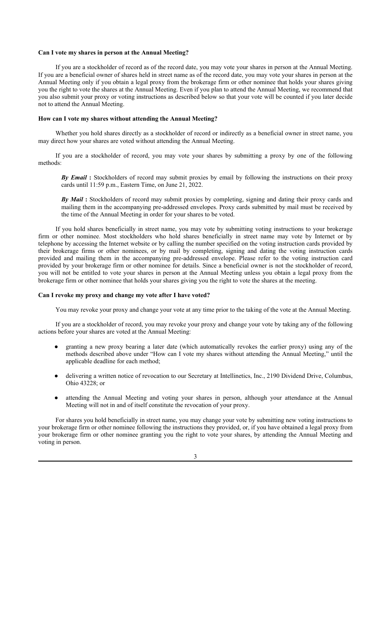### **Can I vote my shares in person at the Annual Meeting?**

If you are a stockholder of record as of the record date, you may vote your shares in person at the Annual Meeting. If you are a beneficial owner of shares held in street name as of the record date, you may vote your shares in person at the Annual Meeting only if you obtain a legal proxy from the brokerage firm or other nominee that holds your shares giving you the right to vote the shares at the Annual Meeting. Even if you plan to attend the Annual Meeting, we recommend that you also submit your proxy or voting instructions as described below so that your vote will be counted if you later decide not to attend the Annual Meeting.

# **How can I vote my shares without attending the Annual Meeting?**

Whether you hold shares directly as a stockholder of record or indirectly as a beneficial owner in street name, you may direct how your shares are voted without attending the Annual Meeting.

If you are a stockholder of record, you may vote your shares by submitting a proxy by one of the following methods:

*By Email* **:** Stockholders of record may submit proxies by email by following the instructions on their proxy cards until 11:59 p.m., Eastern Time, on June 21, 2022.

*By Mail* **:** Stockholders of record may submit proxies by completing, signing and dating their proxy cards and mailing them in the accompanying pre-addressed envelopes. Proxy cards submitted by mail must be received by the time of the Annual Meeting in order for your shares to be voted.

If you hold shares beneficially in street name, you may vote by submitting voting instructions to your brokerage firm or other nominee. Most stockholders who hold shares beneficially in street name may vote by Internet or by telephone by accessing the Internet website or by calling the number specified on the voting instruction cards provided by their brokerage firms or other nominees, or by mail by completing, signing and dating the voting instruction cards provided and mailing them in the accompanying pre-addressed envelope. Please refer to the voting instruction card provided by your brokerage firm or other nominee for details. Since a beneficial owner is not the stockholder of record, you will not be entitled to vote your shares in person at the Annual Meeting unless you obtain a legal proxy from the brokerage firm or other nominee that holds your shares giving you the right to vote the shares at the meeting.

#### **Can I revoke my proxy and change my vote after I have voted?**

You may revoke your proxy and change your vote at any time prior to the taking of the vote at the Annual Meeting.

If you are a stockholder of record, you may revoke your proxy and change your vote by taking any of the following actions before your shares are voted at the Annual Meeting:

- granting a new proxy bearing a later date (which automatically revokes the earlier proxy) using any of the methods described above under "How can I vote my shares without attending the Annual Meeting," until the applicable deadline for each method;
- delivering a written notice of revocation to our Secretary at Intellinetics, Inc., 2190 Dividend Drive, Columbus, Ohio 43228; or
- attending the Annual Meeting and voting your shares in person, although your attendance at the Annual Meeting will not in and of itself constitute the revocation of your proxy.

For shares you hold beneficially in street name, you may change your vote by submitting new voting instructions to your brokerage firm or other nominee following the instructions they provided, or, if you have obtained a legal proxy from your brokerage firm or other nominee granting you the right to vote your shares, by attending the Annual Meeting and voting in person.

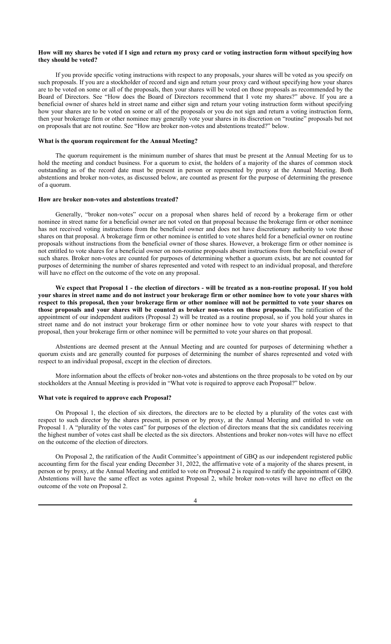### **How will my shares be voted if I sign and return my proxy card or voting instruction form without specifying how they should be voted?**

If you provide specific voting instructions with respect to any proposals, your shares will be voted as you specify on such proposals. If you are a stockholder of record and sign and return your proxy card without specifying how your shares are to be voted on some or all of the proposals, then your shares will be voted on those proposals as recommended by the Board of Directors. See "How does the Board of Directors recommend that I vote my shares?" above. If you are a beneficial owner of shares held in street name and either sign and return your voting instruction form without specifying how your shares are to be voted on some or all of the proposals or you do not sign and return a voting instruction form, then your brokerage firm or other nominee may generally vote your shares in its discretion on "routine" proposals but not on proposals that are not routine. See "How are broker non-votes and abstentions treated?" below.

### **What is the quorum requirement for the Annual Meeting?**

The quorum requirement is the minimum number of shares that must be present at the Annual Meeting for us to hold the meeting and conduct business. For a quorum to exist, the holders of a majority of the shares of common stock outstanding as of the record date must be present in person or represented by proxy at the Annual Meeting. Both abstentions and broker non-votes, as discussed below, are counted as present for the purpose of determining the presence of a quorum.

### **How are broker non-votes and abstentions treated?**

Generally, "broker non-votes" occur on a proposal when shares held of record by a brokerage firm or other nominee in street name for a beneficial owner are not voted on that proposal because the brokerage firm or other nominee has not received voting instructions from the beneficial owner and does not have discretionary authority to vote those shares on that proposal. A brokerage firm or other nominee is entitled to vote shares held for a beneficial owner on routine proposals without instructions from the beneficial owner of those shares. However, a brokerage firm or other nominee is not entitled to vote shares for a beneficial owner on non-routine proposals absent instructions from the beneficial owner of such shares. Broker non-votes are counted for purposes of determining whether a quorum exists, but are not counted for purposes of determining the number of shares represented and voted with respect to an individual proposal, and therefore will have no effect on the outcome of the vote on any proposal.

**We expect that Proposal 1 - the election of directors - will be treated as a non-routine proposal. If you hold your shares in street name and do not instruct your brokerage firm or other nominee how to vote your shares with respect to this proposal, then your brokerage firm or other nominee will not be permitted to vote your shares on those proposals and your shares will be counted as broker non-votes on those proposals.** The ratification of the appointment of our independent auditors (Proposal 2) will be treated as a routine proposal, so if you hold your shares in street name and do not instruct your brokerage firm or other nominee how to vote your shares with respect to that proposal, then your brokerage firm or other nominee will be permitted to vote your shares on that proposal.

Abstentions are deemed present at the Annual Meeting and are counted for purposes of determining whether a quorum exists and are generally counted for purposes of determining the number of shares represented and voted with respect to an individual proposal, except in the election of directors.

More information about the effects of broker non-votes and abstentions on the three proposals to be voted on by our stockholders at the Annual Meeting is provided in "What vote is required to approve each Proposal?" below.

#### **What vote is required to approve each Proposal?**

On Proposal 1, the election of six directors, the directors are to be elected by a plurality of the votes cast with respect to such director by the shares present, in person or by proxy, at the Annual Meeting and entitled to vote on Proposal 1. A "plurality of the votes cast" for purposes of the election of directors means that the six candidates receiving the highest number of votes cast shall be elected as the six directors. Abstentions and broker non-votes will have no effect on the outcome of the election of directors.

On Proposal 2, the ratification of the Audit Committee's appointment of GBQ as our independent registered public accounting firm for the fiscal year ending December 31, 2022, the affirmative vote of a majority of the shares present, in person or by proxy, at the Annual Meeting and entitled to vote on Proposal 2 is required to ratify the appointment of GBQ. Abstentions will have the same effect as votes against Proposal 2, while broker non-votes will have no effect on the outcome of the vote on Proposal 2.

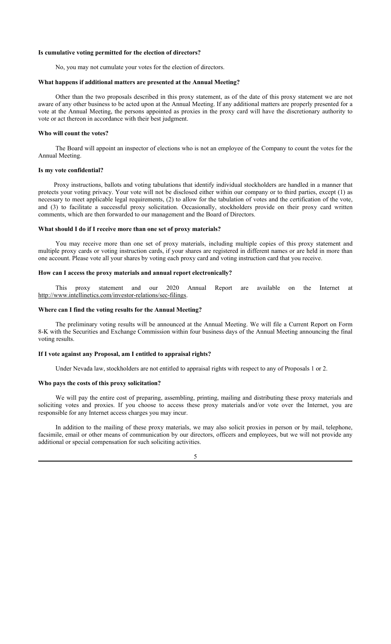#### **Is cumulative voting permitted for the election of directors?**

No, you may not cumulate your votes for the election of directors.

### **What happens if additional matters are presented at the Annual Meeting?**

Other than the two proposals described in this proxy statement, as of the date of this proxy statement we are not aware of any other business to be acted upon at the Annual Meeting. If any additional matters are properly presented for a vote at the Annual Meeting, the persons appointed as proxies in the proxy card will have the discretionary authority to vote or act thereon in accordance with their best judgment.

### **Who will count the votes?**

The Board will appoint an inspector of elections who is not an employee of the Company to count the votes for the Annual Meeting.

## **Is my vote confidential?**

Proxy instructions, ballots and voting tabulations that identify individual stockholders are handled in a manner that protects your voting privacy. Your vote will not be disclosed either within our company or to third parties, except (1) as necessary to meet applicable legal requirements, (2) to allow for the tabulation of votes and the certification of the vote, and (3) to facilitate a successful proxy solicitation. Occasionally, stockholders provide on their proxy card written comments, which are then forwarded to our management and the Board of Directors.

### **What should I do if I receive more than one set of proxy materials?**

You may receive more than one set of proxy materials, including multiple copies of this proxy statement and multiple proxy cards or voting instruction cards, if your shares are registered in different names or are held in more than one account. Please vote all your shares by voting each proxy card and voting instruction card that you receive.

## **How can I access the proxy materials and annual report electronically?**

This proxy statement and our 2020 Annual Report are available on the Internet at http://www.intellinetics.com/investor-relations/sec-filings.

## **Where can I find the voting results for the Annual Meeting?**

The preliminary voting results will be announced at the Annual Meeting. We will file a Current Report on Form 8-K with the Securities and Exchange Commission within four business days of the Annual Meeting announcing the final voting results.

## **If I vote against any Proposal, am I entitled to appraisal rights?**

Under Nevada law, stockholders are not entitled to appraisal rights with respect to any of Proposals 1 or 2.

#### **Who pays the costs of this proxy solicitation?**

We will pay the entire cost of preparing, assembling, printing, mailing and distributing these proxy materials and soliciting votes and proxies. If you choose to access these proxy materials and/or vote over the Internet, you are responsible for any Internet access charges you may incur.

In addition to the mailing of these proxy materials, we may also solicit proxies in person or by mail, telephone, facsimile, email or other means of communication by our directors, officers and employees, but we will not provide any additional or special compensation for such soliciting activities.

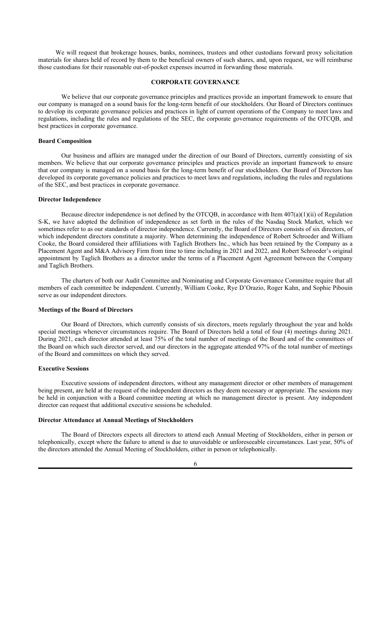We will request that brokerage houses, banks, nominees, trustees and other custodians forward proxy solicitation materials for shares held of record by them to the beneficial owners of such shares, and, upon request, we will reimburse those custodians for their reasonable out-of-pocket expenses incurred in forwarding those materials.

## **CORPORATE GOVERNANCE**

We believe that our corporate governance principles and practices provide an important framework to ensure that our company is managed on a sound basis for the long-term benefit of our stockholders. Our Board of Directors continues to develop its corporate governance policies and practices in light of current operations of the Company to meet laws and regulations, including the rules and regulations of the SEC, the corporate governance requirements of the OTCQB, and best practices in corporate governance.

### **Board Composition**

Our business and affairs are managed under the direction of our Board of Directors, currently consisting of six members. We believe that our corporate governance principles and practices provide an important framework to ensure that our company is managed on a sound basis for the long-term benefit of our stockholders. Our Board of Directors has developed its corporate governance policies and practices to meet laws and regulations, including the rules and regulations of the SEC, and best practices in corporate governance.

#### **Director Independence**

Because director independence is not defined by the OTCQB, in accordance with Item 407(a)(1)(ii) of Regulation S-K, we have adopted the definition of independence as set forth in the rules of the Nasdaq Stock Market, which we sometimes refer to as our standards of director independence. Currently, the Board of Directors consists of six directors, of which independent directors constitute a majority. When determining the independence of Robert Schroeder and William Cooke, the Board considered their affiliations with Taglich Brothers Inc., which has been retained by the Company as a Placement Agent and M&A Advisory Firm from time to time including in 2021 and 2022, and Robert Schroeder's original appointment by Taglich Brothers as a director under the terms of a Placement Agent Agreement between the Company and Taglich Brothers.

The charters of both our Audit Committee and Nominating and Corporate Governance Committee require that all members of each committee be independent. Currently, William Cooke, Rye D'Orazio, Roger Kahn, and Sophie Pibouin serve as our independent directors.

## **Meetings of the Board of Directors**

Our Board of Directors, which currently consists of six directors, meets regularly throughout the year and holds special meetings whenever circumstances require. The Board of Directors held a total of four (4) meetings during 2021. During 2021, each director attended at least 75% of the total number of meetings of the Board and of the committees of the Board on which such director served, and our directors in the aggregate attended 97% of the total number of meetings of the Board and committees on which they served.

### **Executive Sessions**

Executive sessions of independent directors, without any management director or other members of management being present, are held at the request of the independent directors as they deem necessary or appropriate. The sessions may be held in conjunction with a Board committee meeting at which no management director is present. Any independent director can request that additional executive sessions be scheduled.

#### **Director Attendance at Annual Meetings of Stockholders**

The Board of Directors expects all directors to attend each Annual Meeting of Stockholders, either in person or telephonically, except where the failure to attend is due to unavoidable or unforeseeable circumstances. Last year, 50% of the directors attended the Annual Meeting of Stockholders, either in person or telephonically.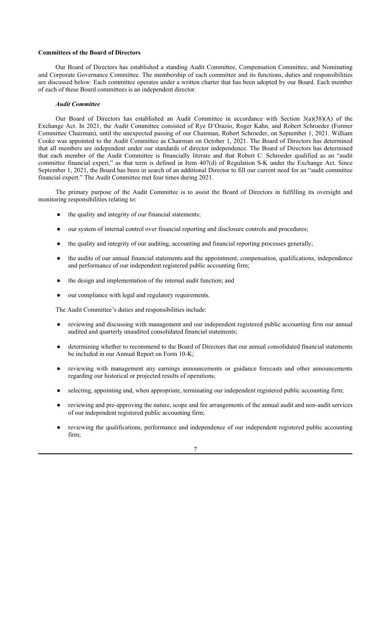## **Committees of the Board of Directors**

Our Board of Directors has established a standing Audit Committee, Compensation Committee, and Nominating and Corporate Governance Committee. The membership of each committee and its functions, duties and responsibilities are discussed below. Each committee operates under a written charter that has been adopted by our Board. Each member of each of these Board committees is an independent director.

#### *Audit Committee*

Our Board of Directors has established an Audit Committee in accordance with Section 3(a)(58)(A) of the Exchange Act. In 2021, the Audit Committee consisted of Rye D'Orazio, Roger Kahn, and Robert Schroeder (Former Committee Chairman), until the unexpected passing of our Chairman, Robert Schroeder, on September 1, 2021. William Cooke was appointed to the Audit Committee as Chairman on October 1, 2021. The Board of Directors has determined that all members are independent under our standards of director independence. The Board of Directors has determined that each member of the Audit Committee is financially literate and that Robert C. Schroeder qualified as an "audit committee financial expert," as that term is defined in Item 407(d) of Regulation S-K under the Exchange Act. Since September 1, 2021, the Board has been in search of an additional Director to fill our current need for an "audit committee financial expert." The Audit Committee met four times during 2021.

The primary purpose of the Audit Committee is to assist the Board of Directors in fulfilling its oversight and monitoring responsibilities relating to:

- the quality and integrity of our financial statements;
- our system of internal control over financial reporting and disclosure controls and procedures;
- the quality and integrity of our auditing, accounting and financial reporting processes generally;
- the audits of our annual financial statements and the appointment, compensation, qualifications, independence and performance of our independent registered public accounting firm;
- the design and implementation of the internal audit function; and
- our compliance with legal and regulatory requirements.

The Audit Committee's duties and responsibilities include:

- reviewing and discussing with management and our independent registered public accounting firm our annual audited and quarterly unaudited consolidated financial statements;
- determining whether to recommend to the Board of Directors that our annual consolidated financial statements be included in our Annual Report on Form 10-K;
- reviewing with management any earnings announcements or guidance forecasts and other announcements regarding our historical or projected results of operations;
- selecting, appointing and, when appropriate, terminating our independent registered public accounting firm;
- reviewing and pre-approving the nature, scope and fee arrangements of the annual audit and non-audit services of our independent registered public accounting firm;
- reviewing the qualifications, performance and independence of our independent registered public accounting firm;

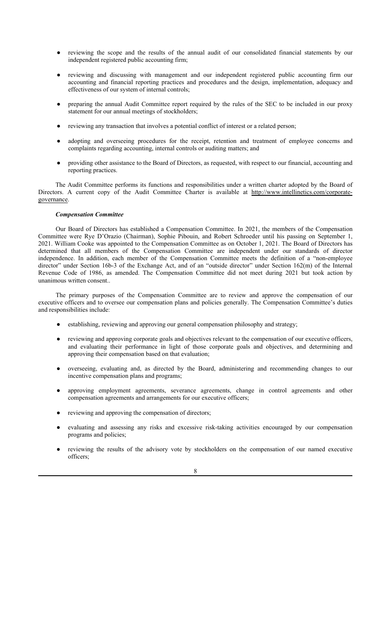- reviewing the scope and the results of the annual audit of our consolidated financial statements by our independent registered public accounting firm;
- reviewing and discussing with management and our independent registered public accounting firm our accounting and financial reporting practices and procedures and the design, implementation, adequacy and effectiveness of our system of internal controls;
- preparing the annual Audit Committee report required by the rules of the SEC to be included in our proxy statement for our annual meetings of stockholders;
- reviewing any transaction that involves a potential conflict of interest or a related person;
- adopting and overseeing procedures for the receipt, retention and treatment of employee concerns and complaints regarding accounting, internal controls or auditing matters; and
- providing other assistance to the Board of Directors, as requested, with respect to our financial, accounting and reporting practices.

The Audit Committee performs its functions and responsibilities under a written charter adopted by the Board of Directors. A current copy of the Audit Committee Charter is available at http://www.intellinetics.com/corporategovernance.

## *Compensation Committee*

Our Board of Directors has established a Compensation Committee. In 2021, the members of the Compensation Committee were Rye D'Orazio (Chairman), Sophie Pibouin, and Robert Schroeder until his passing on September 1, 2021. William Cooke was appointed to the Compensation Committee as on October 1, 2021. The Board of Directors has determined that all members of the Compensation Committee are independent under our standards of director independence. In addition, each member of the Compensation Committee meets the definition of a "non-employee director" under Section 16b-3 of the Exchange Act, and of an "outside director" under Section 162(m) of the Internal Revenue Code of 1986, as amended. The Compensation Committee did not meet during 2021 but took action by unanimous written consent..

The primary purposes of the Compensation Committee are to review and approve the compensation of our executive officers and to oversee our compensation plans and policies generally. The Compensation Committee's duties and responsibilities include:

- establishing, reviewing and approving our general compensation philosophy and strategy;
- reviewing and approving corporate goals and objectives relevant to the compensation of our executive officers, and evaluating their performance in light of those corporate goals and objectives, and determining and approving their compensation based on that evaluation;
- overseeing, evaluating and, as directed by the Board, administering and recommending changes to our incentive compensation plans and programs;
- approving employment agreements, severance agreements, change in control agreements and other compensation agreements and arrangements for our executive officers;
- reviewing and approving the compensation of directors;
- evaluating and assessing any risks and excessive risk-taking activities encouraged by our compensation programs and policies;
- reviewing the results of the advisory vote by stockholders on the compensation of our named executive officers;

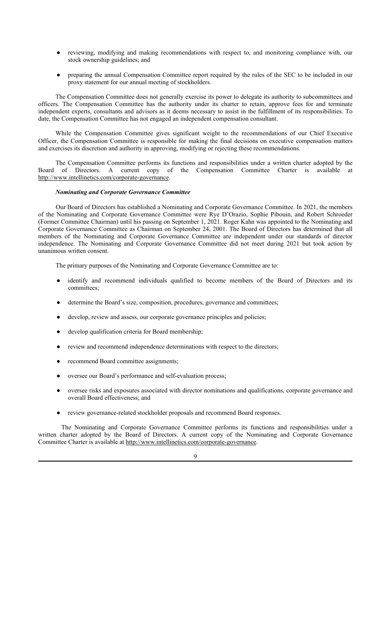- reviewing, modifying and making recommendations with respect to, and monitoring compliance with, our stock ownership guidelines; and
- preparing the annual Compensation Committee report required by the rules of the SEC to be included in our proxy statement for our annual meeting of stockholders.

The Compensation Committee does not generally exercise its power to delegate its authority to subcommittees and officers. The Compensation Committee has the authority under its charter to retain, approve fees for and terminate independent experts, consultants and advisors as it deems necessary to assist in the fulfillment of its responsibilities. To date, the Compensation Committee has not engaged an independent compensation consultant.

While the Compensation Committee gives significant weight to the recommendations of our Chief Executive Officer, the Compensation Committee is responsible for making the final decisions on executive compensation matters and exercises its discretion and authority in approving, modifying or rejecting these recommendations.

The Compensation Committee performs its functions and responsibilities under a written charter adopted by the Board of Directors. A current copy of the Compensation Committee Charter is available at http://www.intellinetics.com/corporate-governance.

#### *Nominating and Corporate Governance Committee*

Our Board of Directors has established a Nominating and Corporate Governance Committee. In 2021, the members of the Nominating and Corporate Governance Committee were Rye D'Orazio, Sophie Pibouin, and Robert Schroeder (Former Committee Chairman) until his passing on September 1, 2021. Roger Kahn was appointed to the Nominating and Corporate Governance Committee as Chairman on September 24, 2001. The Board of Directors has determined that all members of the Nominating and Corporate Governance Committee are independent under our standards of director independence. The Nominating and Corporate Governance Committee did not meet during 2021 but took action by unanimous written consent.

The primary purposes of the Nominating and Corporate Governance Committee are to:

- identify and recommend individuals qualified to become members of the Board of Directors and its committees;
- determine the Board's size, composition, procedures, governance and committees;
- develop, review and assess, our corporate governance principles and policies;
- develop qualification criteria for Board membership;
- review and recommend independence determinations with respect to the directors;
- recommend Board committee assignments;
- oversee our Board's performance and self-evaluation process;
- oversee risks and exposures associated with director nominations and qualifications, corporate governance and overall Board effectiveness; and
- review governance-related stockholder proposals and recommend Board responses.

The Nominating and Corporate Governance Committee performs its functions and responsibilities under a written charter adopted by the Board of Directors. A current copy of the Nominating and Corporate Governance Committee Charter is available at http://www.intellinetics.com/corporate-governance.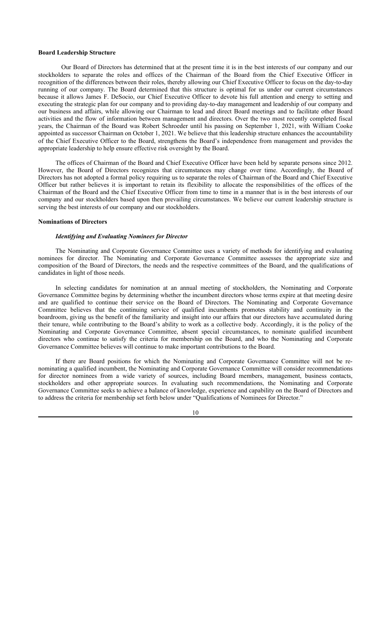#### **Board Leadership Structure**

Our Board of Directors has determined that at the present time it is in the best interests of our company and our stockholders to separate the roles and offices of the Chairman of the Board from the Chief Executive Officer in recognition of the differences between their roles, thereby allowing our Chief Executive Officer to focus on the day-to-day running of our company. The Board determined that this structure is optimal for us under our current circumstances because it allows James F. DeSocio, our Chief Executive Officer to devote his full attention and energy to setting and executing the strategic plan for our company and to providing day-to-day management and leadership of our company and our business and affairs, while allowing our Chairman to lead and direct Board meetings and to facilitate other Board activities and the flow of information between management and directors. Over the two most recently completed fiscal years, the Chairman of the Board was Robert Schroeder until his passing on September 1, 2021, with William Cooke appointed as successor Chairman on October 1, 2021. We believe that this leadership structure enhances the accountability of the Chief Executive Officer to the Board, strengthens the Board's independence from management and provides the appropriate leadership to help ensure effective risk oversight by the Board.

The offices of Chairman of the Board and Chief Executive Officer have been held by separate persons since 2012. However, the Board of Directors recognizes that circumstances may change over time. Accordingly, the Board of Directors has not adopted a formal policy requiring us to separate the roles of Chairman of the Board and Chief Executive Officer but rather believes it is important to retain its flexibility to allocate the responsibilities of the offices of the Chairman of the Board and the Chief Executive Officer from time to time in a manner that is in the best interests of our company and our stockholders based upon then prevailing circumstances. We believe our current leadership structure is serving the best interests of our company and our stockholders.

## **Nominations of Directors**

#### *Identifying and Evaluating Nominees for Director*

The Nominating and Corporate Governance Committee uses a variety of methods for identifying and evaluating nominees for director. The Nominating and Corporate Governance Committee assesses the appropriate size and composition of the Board of Directors, the needs and the respective committees of the Board, and the qualifications of candidates in light of those needs.

In selecting candidates for nomination at an annual meeting of stockholders, the Nominating and Corporate Governance Committee begins by determining whether the incumbent directors whose terms expire at that meeting desire and are qualified to continue their service on the Board of Directors. The Nominating and Corporate Governance Committee believes that the continuing service of qualified incumbents promotes stability and continuity in the boardroom, giving us the benefit of the familiarity and insight into our affairs that our directors have accumulated during their tenure, while contributing to the Board's ability to work as a collective body. Accordingly, it is the policy of the Nominating and Corporate Governance Committee, absent special circumstances, to nominate qualified incumbent directors who continue to satisfy the criteria for membership on the Board, and who the Nominating and Corporate Governance Committee believes will continue to make important contributions to the Board.

If there are Board positions for which the Nominating and Corporate Governance Committee will not be renominating a qualified incumbent, the Nominating and Corporate Governance Committee will consider recommendations for director nominees from a wide variety of sources, including Board members, management, business contacts, stockholders and other appropriate sources. In evaluating such recommendations, the Nominating and Corporate Governance Committee seeks to achieve a balance of knowledge, experience and capability on the Board of Directors and to address the criteria for membership set forth below under "Qualifications of Nominees for Director."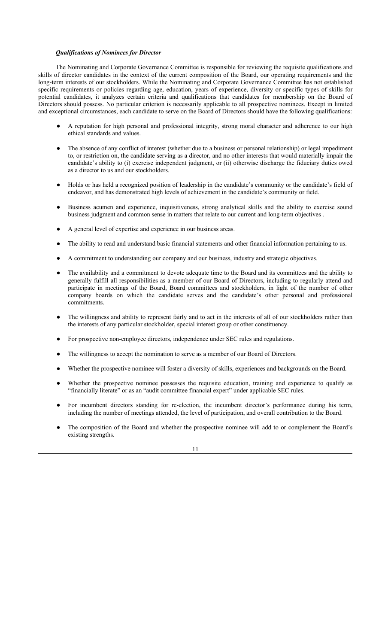### *Qualifications of Nominees for Director*

The Nominating and Corporate Governance Committee is responsible for reviewing the requisite qualifications and skills of director candidates in the context of the current composition of the Board, our operating requirements and the long-term interests of our stockholders. While the Nominating and Corporate Governance Committee has not established specific requirements or policies regarding age, education, years of experience, diversity or specific types of skills for potential candidates, it analyzes certain criteria and qualifications that candidates for membership on the Board of Directors should possess. No particular criterion is necessarily applicable to all prospective nominees. Except in limited and exceptional circumstances, each candidate to serve on the Board of Directors should have the following qualifications:

- A reputation for high personal and professional integrity, strong moral character and adherence to our high ethical standards and values.
- The absence of any conflict of interest (whether due to a business or personal relationship) or legal impediment to, or restriction on, the candidate serving as a director, and no other interests that would materially impair the candidate's ability to (i) exercise independent judgment, or (ii) otherwise discharge the fiduciary duties owed as a director to us and our stockholders.
- Holds or has held a recognized position of leadership in the candidate's community or the candidate's field of endeavor, and has demonstrated high levels of achievement in the candidate's community or field.
- Business acumen and experience, inquisitiveness, strong analytical skills and the ability to exercise sound business judgment and common sense in matters that relate to our current and long-term objectives .
- A general level of expertise and experience in our business areas.
- The ability to read and understand basic financial statements and other financial information pertaining to us.
- A commitment to understanding our company and our business, industry and strategic objectives.
- The availability and a commitment to devote adequate time to the Board and its committees and the ability to generally fulfill all responsibilities as a member of our Board of Directors, including to regularly attend and participate in meetings of the Board, Board committees and stockholders, in light of the number of other company boards on which the candidate serves and the candidate's other personal and professional commitments.
- The willingness and ability to represent fairly and to act in the interests of all of our stockholders rather than the interests of any particular stockholder, special interest group or other constituency.
- For prospective non-employee directors, independence under SEC rules and regulations.
- The willingness to accept the nomination to serve as a member of our Board of Directors.
- Whether the prospective nominee will foster a diversity of skills, experiences and backgrounds on the Board.
- Whether the prospective nominee possesses the requisite education, training and experience to qualify as "financially literate" or as an "audit committee financial expert" under applicable SEC rules.
- For incumbent directors standing for re-election, the incumbent director's performance during his term, including the number of meetings attended, the level of participation, and overall contribution to the Board.
- The composition of the Board and whether the prospective nominee will add to or complement the Board's existing strengths.

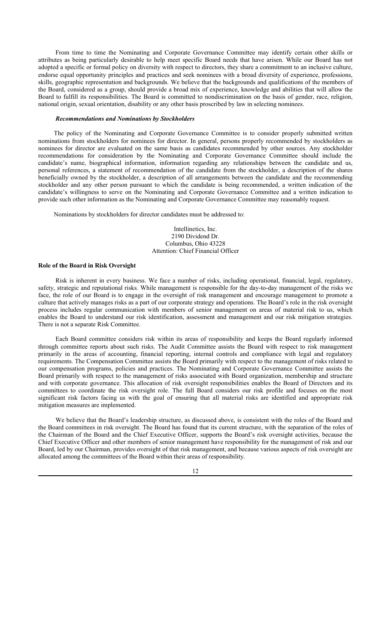From time to time the Nominating and Corporate Governance Committee may identify certain other skills or attributes as being particularly desirable to help meet specific Board needs that have arisen. While our Board has not adopted a specific or formal policy on diversity with respect to directors, they share a commitment to an inclusive culture, endorse equal opportunity principles and practices and seek nominees with a broad diversity of experience, professions, skills, geographic representation and backgrounds. We believe that the backgrounds and qualifications of the members of the Board, considered as a group, should provide a broad mix of experience, knowledge and abilities that will allow the Board to fulfill its responsibilities. The Board is committed to nondiscrimination on the basis of gender, race, religion, national origin, sexual orientation, disability or any other basis proscribed by law in selecting nominees.

## *Recommendations and Nominations by Stockholders*

The policy of the Nominating and Corporate Governance Committee is to consider properly submitted written nominations from stockholders for nominees for director. In general, persons properly recommended by stockholders as nominees for director are evaluated on the same basis as candidates recommended by other sources. Any stockholder recommendations for consideration by the Nominating and Corporate Governance Committee should include the candidate's name, biographical information, information regarding any relationships between the candidate and us, personal references, a statement of recommendation of the candidate from the stockholder, a description of the shares beneficially owned by the stockholder, a description of all arrangements between the candidate and the recommending stockholder and any other person pursuant to which the candidate is being recommended, a written indication of the candidate's willingness to serve on the Nominating and Corporate Governance Committee and a written indication to provide such other information as the Nominating and Corporate Governance Committee may reasonably request.

Nominations by stockholders for director candidates must be addressed to:

Intellinetics, Inc. 2190 Dividend Dr. Columbus, Ohio 43228 Attention: Chief Financial Officer

## **Role of the Board in Risk Oversight**

Risk is inherent in every business. We face a number of risks, including operational, financial, legal, regulatory, safety, strategic and reputational risks. While management is responsible for the day-to-day management of the risks we face, the role of our Board is to engage in the oversight of risk management and encourage management to promote a culture that actively manages risks as a part of our corporate strategy and operations. The Board's role in the risk oversight process includes regular communication with members of senior management on areas of material risk to us, which enables the Board to understand our risk identification, assessment and management and our risk mitigation strategies. There is not a separate Risk Committee.

Each Board committee considers risk within its areas of responsibility and keeps the Board regularly informed through committee reports about such risks. The Audit Committee assists the Board with respect to risk management primarily in the areas of accounting, financial reporting, internal controls and compliance with legal and regulatory requirements. The Compensation Committee assists the Board primarily with respect to the management of risks related to our compensation programs, policies and practices. The Nominating and Corporate Governance Committee assists the Board primarily with respect to the management of risks associated with Board organization, membership and structure and with corporate governance. This allocation of risk oversight responsibilities enables the Board of Directors and its committees to coordinate the risk oversight role. The full Board considers our risk profile and focuses on the most significant risk factors facing us with the goal of ensuring that all material risks are identified and appropriate risk mitigation measures are implemented.

We believe that the Board's leadership structure, as discussed above, is consistent with the roles of the Board and the Board committees in risk oversight. The Board has found that its current structure, with the separation of the roles of the Chairman of the Board and the Chief Executive Officer, supports the Board's risk oversight activities, because the Chief Executive Officer and other members of senior management have responsibility for the management of risk and our Board, led by our Chairman, provides oversight of that risk management, and because various aspects of risk oversight are allocated among the committees of the Board within their areas of responsibility.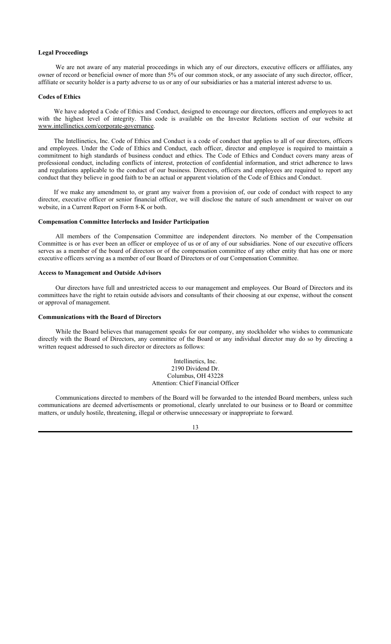### **Legal Proceedings**

We are not aware of any material proceedings in which any of our directors, executive officers or affiliates, any owner of record or beneficial owner of more than 5% of our common stock, or any associate of any such director, officer, affiliate or security holder is a party adverse to us or any of our subsidiaries or has a material interest adverse to us.

#### **Codes of Ethics**

We have adopted a Code of Ethics and Conduct, designed to encourage our directors, officers and employees to act with the highest level of integrity. This code is available on the Investor Relations section of our website at www.intellinetics.com/corporate-governance.

The Intellinetics, Inc. Code of Ethics and Conduct is a code of conduct that applies to all of our directors, officers and employees. Under the Code of Ethics and Conduct, each officer, director and employee is required to maintain a commitment to high standards of business conduct and ethics. The Code of Ethics and Conduct covers many areas of professional conduct, including conflicts of interest, protection of confidential information, and strict adherence to laws and regulations applicable to the conduct of our business. Directors, officers and employees are required to report any conduct that they believe in good faith to be an actual or apparent violation of the Code of Ethics and Conduct.

If we make any amendment to, or grant any waiver from a provision of, our code of conduct with respect to any director, executive officer or senior financial officer, we will disclose the nature of such amendment or waiver on our website, in a Current Report on Form 8-K or both.

## **Compensation Committee Interlocks and Insider Participation**

All members of the Compensation Committee are independent directors. No member of the Compensation Committee is or has ever been an officer or employee of us or of any of our subsidiaries. None of our executive officers serves as a member of the board of directors or of the compensation committee of any other entity that has one or more executive officers serving as a member of our Board of Directors or of our Compensation Committee.

## **Access to Management and Outside Advisors**

Our directors have full and unrestricted access to our management and employees. Our Board of Directors and its committees have the right to retain outside advisors and consultants of their choosing at our expense, without the consent or approval of management.

#### **Communications with the Board of Directors**

While the Board believes that management speaks for our company, any stockholder who wishes to communicate directly with the Board of Directors, any committee of the Board or any individual director may do so by directing a written request addressed to such director or directors as follows:

> Intellinetics, Inc. 2190 Dividend Dr. Columbus, OH 43228 Attention: Chief Financial Officer

Communications directed to members of the Board will be forwarded to the intended Board members, unless such communications are deemed advertisements or promotional, clearly unrelated to our business or to Board or committee matters, or unduly hostile, threatening, illegal or otherwise unnecessary or inappropriate to forward.

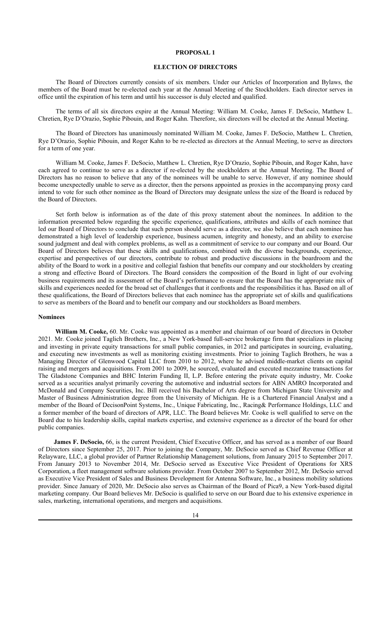## **PROPOSAL 1**

## **ELECTION OF DIRECTORS**

The Board of Directors currently consists of six members. Under our Articles of Incorporation and Bylaws, the members of the Board must be re-elected each year at the Annual Meeting of the Stockholders. Each director serves in office until the expiration of his term and until his successor is duly elected and qualified.

The terms of all six directors expire at the Annual Meeting: William M. Cooke, James F. DeSocio, Matthew L. Chretien, Rye D'Orazio, Sophie Pibouin, and Roger Kahn. Therefore, six directors will be elected at the Annual Meeting.

The Board of Directors has unanimously nominated William M. Cooke, James F. DeSocio, Matthew L. Chretien, Rye D'Orazio, Sophie Pibouin, and Roger Kahn to be re-elected as directors at the Annual Meeting, to serve as directors for a term of one year.

William M. Cooke, James F. DeSocio, Matthew L. Chretien, Rye D'Orazio, Sophie Pibouin, and Roger Kahn, have each agreed to continue to serve as a director if re-elected by the stockholders at the Annual Meeting. The Board of Directors has no reason to believe that any of the nominees will be unable to serve. However, if any nominee should become unexpectedly unable to serve as a director, then the persons appointed as proxies in the accompanying proxy card intend to vote for such other nominee as the Board of Directors may designate unless the size of the Board is reduced by the Board of Directors.

Set forth below is information as of the date of this proxy statement about the nominees. In addition to the information presented below regarding the specific experience, qualifications, attributes and skills of each nominee that led our Board of Directors to conclude that such person should serve as a director, we also believe that each nominee has demonstrated a high level of leadership experience, business acumen, integrity and honesty, and an ability to exercise sound judgment and deal with complex problems, as well as a commitment of service to our company and our Board. Our Board of Directors believes that these skills and qualifications, combined with the diverse backgrounds, experience, expertise and perspectives of our directors, contribute to robust and productive discussions in the boardroom and the ability of the Board to work in a positive and collegial fashion that benefits our company and our stockholders by creating a strong and effective Board of Directors. The Board considers the composition of the Board in light of our evolving business requirements and its assessment of the Board's performance to ensure that the Board has the appropriate mix of skills and experiences needed for the broad set of challenges that it confronts and the responsibilities it has. Based on all of these qualifications, the Board of Directors believes that each nominee has the appropriate set of skills and qualifications to serve as members of the Board and to benefit our company and our stockholders as Board members.

#### **Nominees**

**William M. Cooke,** 60. Mr. Cooke was appointed as a member and chairman of our board of directors in October 2021. Mr. Cooke joined Taglich Brothers, Inc., a New York-based full-service brokerage firm that specializes in placing and investing in private equity transactions for small public companies, in 2012 and participates in sourcing, evaluating, and executing new investments as well as monitoring existing investments. Prior to joining Taglich Brothers, he was a Managing Director of Glenwood Capital LLC from 2010 to 2012, where he advised middle-market clients on capital raising and mergers and acquisitions. From 2001 to 2009, he sourced, evaluated and executed mezzanine transactions for The Gladstone Companies and BHC Interim Funding II, L.P. Before entering the private equity industry, Mr. Cooke served as a securities analyst primarily covering the automotive and industrial sectors for ABN AMRO Incorporated and McDonald and Company Securities, Inc. Bill received his Bachelor of Arts degree from Michigan State University and Master of Business Administration degree from the University of Michigan. He is a Chartered Financial Analyst and a member of the Board of DecisonPoint Systems, Inc., Unique Fabricating, Inc., Racing& Performance Holdings, LLC and a former member of the board of directors of APR, LLC. The Board believes Mr. Cooke is well qualified to serve on the Board due to his leadership skills, capital markets expertise, and extensive experience as a director of the board for other public companies.

**James F. DeSocio,** 66, is the current President, Chief Executive Officer, and has served as a member of our Board of Directors since September 25, 2017. Prior to joining the Company, Mr. DeSocio served as Chief Revenue Officer at Relayware, LLC, a global provider of Partner Relationship Management solutions, from January 2015 to September 2017. From January 2013 to November 2014, Mr. DeSocio served as Executive Vice President of Operations for XRS Corporation, a fleet management software solutions provider. From October 2007 to September 2012, Mr. DeSocio served as Executive Vice President of Sales and Business Development for Antenna Software, Inc., a business mobility solutions provider. Since January of 2020, Mr. DeSocio also serves as Chairman of the Board of Pica9, a New York-based digital marketing company. Our Board believes Mr. DeSocio is qualified to serve on our Board due to his extensive experience in sales, marketing, international operations, and mergers and acquisitions.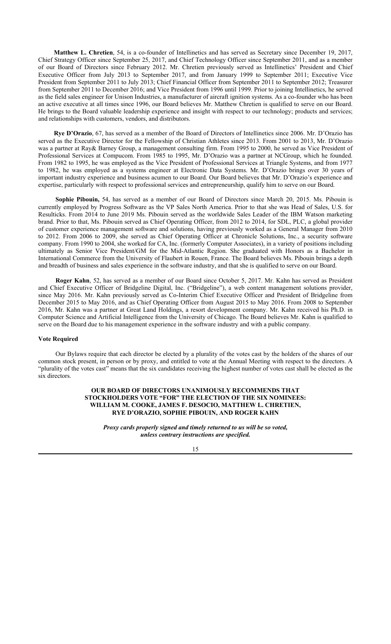**Matthew L. Chretien**, 54, is a co-founder of Intellinetics and has served as Secretary since December 19, 2017, Chief Strategy Officer since September 25, 2017, and Chief Technology Officer since September 2011, and as a member of our Board of Directors since February 2012. Mr. Chretien previously served as Intellinetics' President and Chief Executive Officer from July 2013 to September 2017, and from January 1999 to September 2011; Executive Vice President from September 2011 to July 2013; Chief Financial Officer from September 2011 to September 2012; Treasurer from September 2011 to December 2016; and Vice President from 1996 until 1999. Prior to joining Intellinetics, he served as the field sales engineer for Unison Industries, a manufacturer of aircraft ignition systems. As a co-founder who has been an active executive at all times since 1996, our Board believes Mr. Matthew Chretien is qualified to serve on our Board. He brings to the Board valuable leadership experience and insight with respect to our technology; products and services; and relationships with customers, vendors, and distributors.

**Rye D'Orazio**, 67, has served as a member of the Board of Directors of Intellinetics since 2006. Mr. D'Orazio has served as the Executive Director for the Fellowship of Christian Athletes since 2013. From 2001 to 2013, Mr. D'Orazio was a partner at Ray& Barney Group, a management consulting firm. From 1995 to 2000, he served as Vice President of Professional Services at Compucom. From 1985 to 1995, Mr. D'Orazio was a partner at NCGroup, which he founded. From 1982 to 1995, he was employed as the Vice President of Professional Services at Triangle Systems, and from 1977 to 1982, he was employed as a systems engineer at Electronic Data Systems. Mr. D'Orazio brings over 30 years of important industry experience and business acumen to our Board. Our Board believes that Mr. D'Orazio's experience and expertise, particularly with respect to professional services and entrepreneurship, qualify him to serve on our Board.

**Sophie Pibouin,** 54, has served as a member of our Board of Directors since March 20, 2015. Ms. Pibouin is currently employed by Progress Software as the VP Sales North America. Prior to that she was Head of Sales, U.S. for Resulticks. From 2014 to June 2019 Ms. Pibouin served as the worldwide Sales Leader of the IBM Watson marketing brand. Prior to that, Ms. Pibouin served as Chief Operating Officer, from 2012 to 2014, for SDL, PLC, a global provider of customer experience management software and solutions, having previously worked as a General Manager from 2010 to 2012. From 2006 to 2009, she served as Chief Operating Officer at Chronicle Solutions, Inc., a security software company. From 1990 to 2004, she worked for CA, Inc. (formerly Computer Associates), in a variety of positions including ultimately as Senior Vice President/GM for the Mid-Atlantic Region. She graduated with Honors as a Bachelor in International Commerce from the University of Flaubert in Rouen, France. The Board believes Ms. Pibouin brings a depth and breadth of business and sales experience in the software industry, and that she is qualified to serve on our Board.

**Roger Kahn**, 52, has served as a member of our Board since October 5, 2017. Mr. Kahn has served as President and Chief Executive Officer of Bridgeline Digital, Inc. ("Bridgeline"), a web content management solutions provider, since May 2016. Mr. Kahn previously served as Co-Interim Chief Executive Officer and President of Bridgeline from December 2015 to May 2016, and as Chief Operating Officer from August 2015 to May 2016. From 2008 to September 2016, Mr. Kahn was a partner at Great Land Holdings, a resort development company. Mr. Kahn received his Ph.D. in Computer Science and Artificial Intelligence from the University of Chicago. The Board believes Mr. Kahn is qualified to serve on the Board due to his management experience in the software industry and with a public company.

#### **Vote Required**

Our Bylaws require that each director be elected by a plurality of the votes cast by the holders of the shares of our common stock present, in person or by proxy, and entitled to vote at the Annual Meeting with respect to the directors. A "plurality of the votes cast" means that the six candidates receiving the highest number of votes cast shall be elected as the six directors.

## **OUR BOARD OF DIRECTORS UNANIMOUSLY RECOMMENDS THAT STOCKHOLDERS VOTE "FOR" THE ELECTION OF THE SIX NOMINEES: WILLIAM M. COOKE, JAMES F. DESOCIO, MATTHEW L. CHRETIEN, RYE D'ORAZIO, SOPHIE PIBOUIN, AND ROGER KAHN**

*Proxy cards properly signed and timely returned to us will be so voted, unless contrary instructions are specified.*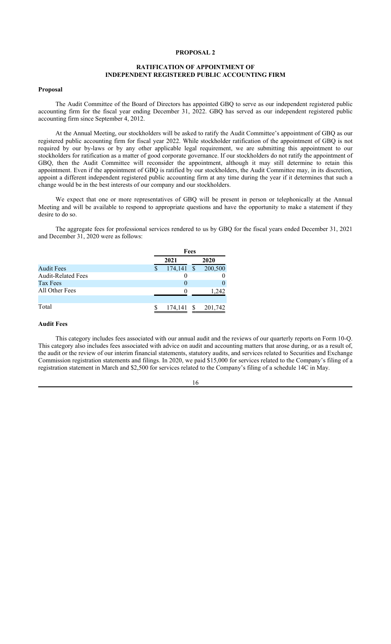## **PROPOSAL 2**

## **RATIFICATION OF APPOINTMENT OF INDEPENDENT REGISTERED PUBLIC ACCOUNTING FIRM**

### **Proposal**

The Audit Committee of the Board of Directors has appointed GBQ to serve as our independent registered public accounting firm for the fiscal year ending December 31, 2022. GBQ has served as our independent registered public accounting firm since September 4, 2012.

At the Annual Meeting, our stockholders will be asked to ratify the Audit Committee's appointment of GBQ as our registered public accounting firm for fiscal year 2022. While stockholder ratification of the appointment of GBQ is not required by our by-laws or by any other applicable legal requirement, we are submitting this appointment to our stockholders for ratification as a matter of good corporate governance. If our stockholders do not ratify the appointment of GBQ, then the Audit Committee will reconsider the appointment, although it may still determine to retain this appointment. Even if the appointment of GBQ is ratified by our stockholders, the Audit Committee may, in its discretion, appoint a different independent registered public accounting firm at any time during the year if it determines that such a change would be in the best interests of our company and our stockholders.

We expect that one or more representatives of GBQ will be present in person or telephonically at the Annual Meeting and will be available to respond to appropriate questions and have the opportunity to make a statement if they desire to do so.

The aggregate fees for professional services rendered to us by GBQ for the fiscal years ended December 31, 2021 and December 31, 2020 were as follows:

|                           | Fees         |  |         |  |  |
|---------------------------|--------------|--|---------|--|--|
|                           | 2021         |  | 2020    |  |  |
| <b>Audit Fees</b>         | $174,141$ \$ |  | 200,500 |  |  |
| <b>Audit-Related Fees</b> |              |  |         |  |  |
| Tax Fees                  |              |  |         |  |  |
| All Other Fees            | $\mathbf{0}$ |  | 1.242   |  |  |
|                           |              |  |         |  |  |
| Total                     | 174,141      |  | 201,742 |  |  |

## **Audit Fees**

This category includes fees associated with our annual audit and the reviews of our quarterly reports on Form 10-Q. This category also includes fees associated with advice on audit and accounting matters that arose during, or as a result of, the audit or the review of our interim financial statements, statutory audits, and services related to Securities and Exchange Commission registration statements and filings. In 2020, we paid \$15,000 for services related to the Company's filing of a registration statement in March and \$2,500 for services related to the Company's filing of a schedule 14C in May.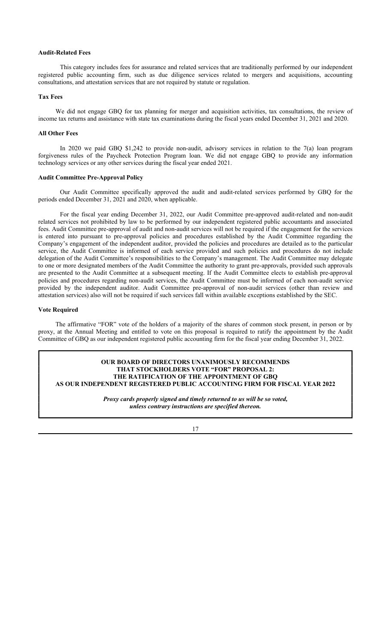#### **Audit-Related Fees**

This category includes fees for assurance and related services that are traditionally performed by our independent registered public accounting firm, such as due diligence services related to mergers and acquisitions, accounting consultations, and attestation services that are not required by statute or regulation.

### **Tax Fees**

We did not engage GBQ for tax planning for merger and acquisition activities, tax consultations, the review of income tax returns and assistance with state tax examinations during the fiscal years ended December 31, 2021 and 2020.

## **All Other Fees**

In 2020 we paid GBQ \$1,242 to provide non-audit, advisory services in relation to the 7(a) loan program forgiveness rules of the Paycheck Protection Program loan. We did not engage GBQ to provide any information technology services or any other services during the fiscal year ended 2021.

#### **Audit Committee Pre-Approval Policy**

Our Audit Committee specifically approved the audit and audit-related services performed by GBQ for the periods ended December 31, 2021 and 2020, when applicable.

For the fiscal year ending December 31, 2022, our Audit Committee pre-approved audit-related and non-audit related services not prohibited by law to be performed by our independent registered public accountants and associated fees. Audit Committee pre-approval of audit and non-audit services will not be required if the engagement for the services is entered into pursuant to pre-approval policies and procedures established by the Audit Committee regarding the Company's engagement of the independent auditor, provided the policies and procedures are detailed as to the particular service, the Audit Committee is informed of each service provided and such policies and procedures do not include delegation of the Audit Committee's responsibilities to the Company's management. The Audit Committee may delegate to one or more designated members of the Audit Committee the authority to grant pre-approvals, provided such approvals are presented to the Audit Committee at a subsequent meeting. If the Audit Committee elects to establish pre-approval policies and procedures regarding non-audit services, the Audit Committee must be informed of each non-audit service provided by the independent auditor. Audit Committee pre-approval of non-audit services (other than review and attestation services) also will not be required if such services fall within available exceptions established by the SEC.

## **Vote Required**

The affirmative "FOR" vote of the holders of a majority of the shares of common stock present, in person or by proxy, at the Annual Meeting and entitled to vote on this proposal is required to ratify the appointment by the Audit Committee of GBQ as our independent registered public accounting firm for the fiscal year ending December 31, 2022.

## **OUR BOARD OF DIRECTORS UNANIMOUSLY RECOMMENDS THAT STOCKHOLDERS VOTE "FOR" PROPOSAL 2: THE RATIFICATION OF THE APPOINTMENT OF GBQ AS OUR INDEPENDENT REGISTERED PUBLIC ACCOUNTING FIRM FOR FISCAL YEAR 2022**

*Proxy cards properly signed and timely returned to us will be so voted, unless contrary instructions are specified thereon.*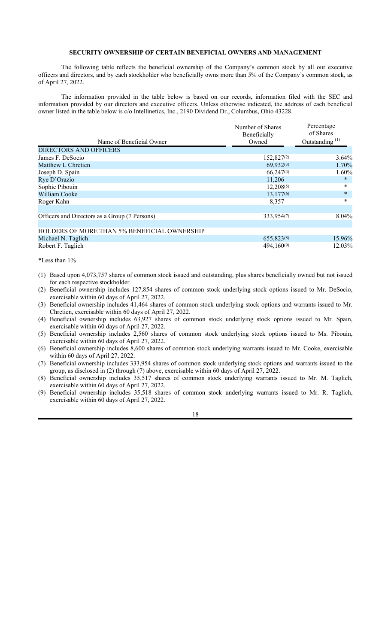## **SECURITY OWNERSHIP OF CERTAIN BENEFICIAL OWNERS AND MANAGEMENT**

The following table reflects the beneficial ownership of the Company's common stock by all our executive officers and directors, and by each stockholder who beneficially owns more than 5% of the Company's common stock, as of April 27, 2022.

The information provided in the table below is based on our records, information filed with the SEC and information provided by our directors and executive officers. Unless otherwise indicated, the address of each beneficial owner listed in the table below is c/o Intellinetics, Inc., 2190 Dividend Dr., Columbus, Ohio 43228.

|                                                     | Number of Shares<br>Beneficially | Percentage<br>of Shares    |
|-----------------------------------------------------|----------------------------------|----------------------------|
| Name of Beneficial Owner                            | Owned                            | Outstanding <sup>(1)</sup> |
| DIRECTORS AND OFFICERS                              |                                  |                            |
| James F. DeSocio                                    | 152,827(2)                       | $3.64\%$                   |
| Matthew L Chretien                                  | 69,932(3)                        | 1.70%                      |
| Joseph D. Spain                                     | 66,247(4)                        | 1.60%                      |
| Rye D'Orazio                                        | 11,206                           | *                          |
| Sophie Pibouin                                      | 12,208(5)                        | $\ast$                     |
| William Cooke                                       | 13,177 $(6)$                     | $\ast$                     |
| Roger Kahn                                          | 8,357                            | $\ast$                     |
|                                                     |                                  |                            |
| Officers and Directors as a Group (7 Persons)       | 333,954(7)                       | 8.04%                      |
|                                                     |                                  |                            |
| <b>HOLDERS OF MORE THAN 5% BENEFICIAL OWNERSHIP</b> |                                  |                            |
| Michael N. Taglich                                  | 655,823(8)                       | 15.96%                     |
| Robert F. Taglich                                   | 494,160(9)                       | 12.03%                     |

#### \*Less than 1%

- (1) Based upon 4,073,757 shares of common stock issued and outstanding, plus shares beneficially owned but not issued for each respective stockholder.
- (2) Beneficial ownership includes 127,854 shares of common stock underlying stock options issued to Mr. DeSocio, exercisable within 60 days of April 27, 2022.
- (3) Beneficial ownership includes 41,464 shares of common stock underlying stock options and warrants issued to Mr. Chretien, exercisable within 60 days of April 27, 2022.
- (4) Beneficial ownership includes 63,927 shares of common stock underlying stock options issued to Mr. Spain, exercisable within 60 days of April 27, 2022.
- (5) Beneficial ownership includes 2,560 shares of common stock underlying stock options issued to Ms. Pibouin, exercisable within 60 days of April 27, 2022.
- (6) Beneficial ownership includes 8,600 shares of common stock underlying warrants issued to Mr. Cooke, exercisable within 60 days of April 27, 2022.
- (7) Beneficial ownership includes 333,954 shares of common stock underlying stock options and warrants issued to the group, as disclosed in (2) through (7) above, exercisable within 60 days of April 27, 2022.
- (8) Beneficial ownership includes 35,517 shares of common stock underlying warrants issued to Mr. M. Taglich, exercisable within 60 days of April 27, 2022.
- (9) Beneficial ownership includes 35,518 shares of common stock underlying warrants issued to Mr. R. Taglich, exercisable within 60 days of April 27, 2022.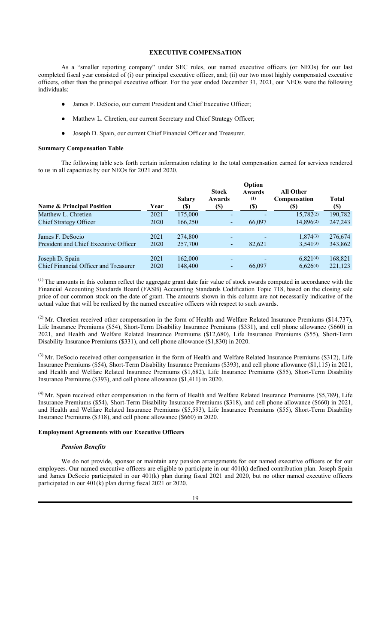# **EXECUTIVE COMPENSATION**

As a "smaller reporting company" under SEC rules, our named executive officers (or NEOs) for our last completed fiscal year consisted of (i) our principal executive officer, and; (ii) our two most highly compensated executive officers, other than the principal executive officer. For the year ended December 31, 2021, our NEOs were the following individuals:

- James F. DeSocio, our current President and Chief Executive Officer;
- Matthew L. Chretien, our current Secretary and Chief Strategy Officer;
- Joseph D. Spain, our current Chief Financial Officer and Treasurer.

### **Summary Compensation Table**

The following table sets forth certain information relating to the total compensation earned for services rendered to us in all capacities by our NEOs for 2021 and 2020.

| <b>Name &amp; Principal Position</b>  | Year | <b>Salary</b><br>(\$) | <b>Stock</b><br>Awards<br>$\left( \mathbb{S}\right)$ | Option<br>Awards<br>(1)<br>(\$) | All Other<br><b>Compensation</b><br>(\$) | <b>Total</b><br><b>(\$)</b> |
|---------------------------------------|------|-----------------------|------------------------------------------------------|---------------------------------|------------------------------------------|-----------------------------|
| Matthew L. Chretien                   | 2021 | 175,000               |                                                      |                                 | 15,782(2)                                | 190,782                     |
| Chief Strategy Officer                | 2020 | 166,250               |                                                      | 66,097                          | 14,896(2)                                | 247,243                     |
|                                       |      |                       |                                                      |                                 |                                          |                             |
| James F. DeSocio                      | 2021 | 274,800               |                                                      |                                 | 1,874(3)                                 | 276,674                     |
| President and Chief Executive Officer | 2020 | 257,700               |                                                      | 82,621                          | $3,541^{(3)}$                            | 343,862                     |
|                                       |      |                       |                                                      |                                 |                                          |                             |
| Joseph D. Spain                       | 2021 | 162,000               | -                                                    |                                 | $6,821^{(4)}$                            | 168,821                     |
| Chief Financial Officer and Treasurer | 2020 | 148,400               | -                                                    | 66,097                          | 6,626(4)                                 | 221,123                     |
|                                       |      |                       |                                                      |                                 |                                          |                             |

(1) The amounts in this column reflect the aggregate grant date fair value of stock awards computed in accordance with the Financial Accounting Standards Board (FASB) Accounting Standards Codification Topic 718, based on the closing sale price of our common stock on the date of grant. The amounts shown in this column are not necessarily indicative of the actual value that will be realized by the named executive officers with respect to such awards.

 $^{(2)}$  Mr. Chretien received other compensation in the form of Health and Welfare Related Insurance Premiums (\$14.737), Life Insurance Premiums (\$54), Short-Term Disability Insurance Premiums (\$331), and cell phone allowance (\$660) in 2021, and Health and Welfare Related Insurance Premiums (\$12,680), Life Insurance Premiums (\$55), Short-Term Disability Insurance Premiums (\$331), and cell phone allowance (\$1,830) in 2020.

 $<sup>(3)</sup>$  Mr. DeSocio received other compensation in the form of Health and Welfare Related Insurance Premiums (\$312), Life</sup> Insurance Premiums (\$54), Short-Term Disability Insurance Premiums (\$393), and cell phone allowance (\$1,115) in 2021, and Health and Welfare Related Insurance Premiums (\$1,682), Life Insurance Premiums (\$55), Short-Term Disability Insurance Premiums (\$393), and cell phone allowance (\$1,411) in 2020.

 $<sup>(4)</sup>$  Mr. Spain received other compensation in the form of Health and Welfare Related Insurance Premiums (\$5,789), Life</sup> Insurance Premiums (\$54), Short-Term Disability Insurance Premiums (\$318), and cell phone allowance (\$660) in 2021, and Health and Welfare Related Insurance Premiums (\$5,593), Life Insurance Premiums (\$55), Short-Term Disability Insurance Premiums (\$318), and cell phone allowance (\$660) in 2020.

## **Employment Agreements with our Executive Officers**

## *Pension Benefits*

We do not provide, sponsor or maintain any pension arrangements for our named executive officers or for our employees. Our named executive officers are eligible to participate in our 401(k) defined contribution plan. Joseph Spain and James DeSocio participated in our 401(k) plan during fiscal 2021 and 2020, but no other named executive officers participated in our 401(k) plan during fiscal 2021 or 2020.

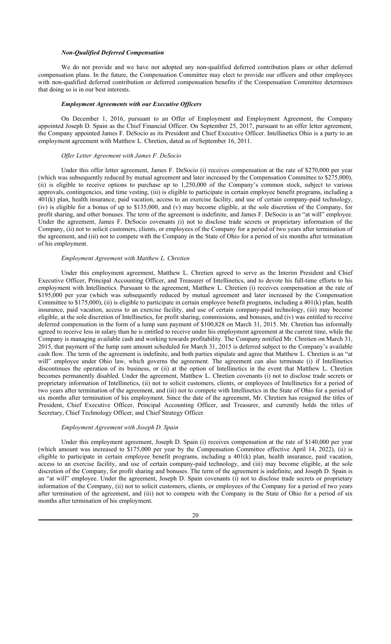#### *Non-Qualified Deferred Compensation*

We do not provide and we have not adopted any non-qualified deferred contribution plans or other deferred compensation plans. In the future, the Compensation Committee may elect to provide our officers and other employees with non-qualified deferred contribution or deferred compensation benefits if the Compensation Committee determines that doing so is in our best interests.

### *Employment Agreements with our Executive Officers*

On December 1, 2016, pursuant to an Offer of Employment and Employment Agreement, the Company appointed Joseph D. Spain as the Chief Financial Officer. On September 25, 2017, pursuant to an offer letter agreement, the Company appointed James F. DeSocio as its President and Chief Executive Officer. Intellinetics Ohio is a party to an employment agreement with Matthew L. Chretien, dated as of September 16, 2011.

#### *Offer Letter Agreement with James F. DeSocio*

Under this offer letter agreement, James F. DeSocio (i) receives compensation at the rate of \$270,000 per year (which was subsequently reduced by mutual agreement and later increased by the Compensation Committee to \$275,000), (ii) is eligible to receive options to purchase up to 1,250,000 of the Company's common stock, subject to various approvals, contingencies, and time vesting, (iii) is eligible to participate in certain employee benefit programs, including a 401(k) plan, health insurance, paid vacation, access to an exercise facility, and use of certain company-paid technology, (iv) is eligible for a bonus of up to \$135,000, and (v) may become eligible, at the sole discretion of the Company, for profit sharing, and other bonuses. The term of the agreement is indefinite, and James F. DeSocio is an "at will" employee. Under the agreement, James F. DeSocio covenants (i) not to disclose trade secrets or proprietary information of the Company, (ii) not to solicit customers, clients, or employees of the Company for a period of two years after termination of the agreement, and (iii) not to compete with the Company in the State of Ohio for a period of six months after termination of his employment.

## *Employment Agreement with Matthew L. Chretien*

Under this employment agreement, Matthew L. Chretien agreed to serve as the Interim President and Chief Executive Officer, Principal Accounting Officer, and Treasurer of Intellinetics, and to devote his full-time efforts to his employment with Intellinetics. Pursuant to the agreement, Matthew L. Chretien (i) receives compensation at the rate of \$195,000 per year (which was subsequently reduced by mutual agreement and later increased by the Compensation Committee to \$175,000), (ii) is eligible to participate in certain employee benefit programs, including a 401(k) plan, health insurance, paid vacation, access to an exercise facility, and use of certain company-paid technology, (iii) may become eligible, at the sole discretion of Intellinetics, for profit sharing, commissions, and bonuses, and (iv) was entitled to receive deferred compensation in the form of a lump sum payment of \$100,828 on March 31, 2015. Mr. Chretien has informally agreed to receive less in salary than he is entitled to receive under his employment agreement at the current time, while the Company is managing available cash and working towards profitability. The Company notified Mr. Chretien on March 31, 2015, that payment of the lump sum amount scheduled for March 31, 2015 is deferred subject to the Company's available cash flow. The term of the agreement is indefinite, and both parties stipulate and agree that Matthew L. Chretien is an "at will" employee under Ohio law, which governs the agreement. The agreement can also terminate (i) if Intellinetics discontinues the operation of its business, or (ii) at the option of Intellinetics in the event that Matthew L. Chretien becomes permanently disabled. Under the agreement, Matthew L. Chretien covenants (i) not to disclose trade secrets or proprietary information of Intellinetics, (ii) not to solicit customers, clients, or employees of Intellinetics for a period of two years after termination of the agreement, and (iii) not to compete with Intellinetics in the State of Ohio for a period of six months after termination of his employment. Since the date of the agreement, Mr. Chretien has resigned the titles of President, Chief Executive Officer, Principal Accounting Officer, and Treasurer, and currently holds the titles of Secretary, Chief Technology Officer, and Chief Strategy Officer.

#### *Employment Agreement with Joseph D. Spain*

Under this employment agreement, Joseph D. Spain (i) receives compensation at the rate of \$140,000 per year (which amount was increased to \$175,000 per year by the Compensation Committee effective April 14, 2022), (ii) is eligible to participate in certain employee benefit programs, including a 401(k) plan, health insurance, paid vacation, access to an exercise facility, and use of certain company-paid technology, and (iii) may become eligible, at the sole discretion of the Company, for profit sharing and bonuses. The term of the agreement is indefinite, and Joseph D. Spain is an "at will" employee. Under the agreement, Joseph D. Spain covenants (i) not to disclose trade secrets or proprietary information of the Company, (ii) not to solicit customers, clients, or employees of the Company for a period of two years after termination of the agreement, and (iii) not to compete with the Company in the State of Ohio for a period of six months after termination of his employment.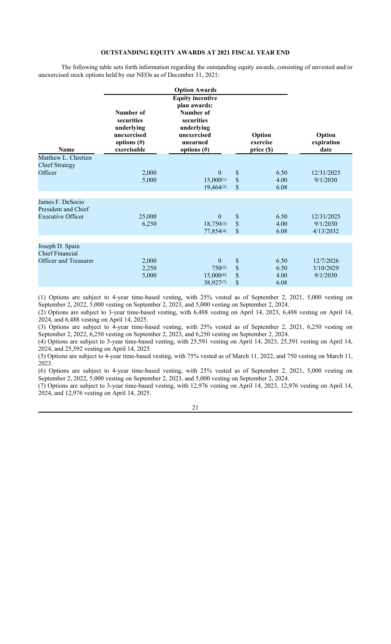## **OUTSTANDING EQUITY AWARDS AT 2021 FISCAL YEAR END**

The following table sets forth information regarding the outstanding equity awards, consisting of unvested and/or unexercised stock options held by our NEOs as of December 31, 2021:

|                                                                           |                                                                                       | <b>Option Awards</b>                                                                                                          |                      |                                  |                                     |
|---------------------------------------------------------------------------|---------------------------------------------------------------------------------------|-------------------------------------------------------------------------------------------------------------------------------|----------------------|----------------------------------|-------------------------------------|
| <b>Name</b>                                                               | Number of<br>securities<br>underlying<br>unexercised<br>options $(\#)$<br>exercisable | <b>Equity incentive</b><br>plan awards:<br>Number of<br>securities<br>underlying<br>unexercised<br>unearned<br>options $(\#)$ |                      | Option<br>exercise<br>price (\$) | Option<br>expiration<br>date        |
| Matthew L. Chretien<br><b>Chief Strategy</b><br>Officer                   | 2,000<br>5,000                                                                        | $\overline{0}$<br>$15,000^{(1)}$<br>19,464(2)                                                                                 | \$<br>\$<br>\$       | 6.50<br>4.00<br>6.08             | 12/31/2025<br>9/1/2030              |
| James F. DeSocio<br>President and Chief<br><b>Executive Officer</b>       | 25,000<br>6,250                                                                       | $\mathbf{0}$<br>$18,750^{(3)}$<br>77,854(4)                                                                                   | \$<br>\$<br>\$       | 6.50<br>4.00<br>6.08             | 12/31/2025<br>9/1/2030<br>4/13/2032 |
| Joseph D. Spain<br><b>Chief Financial</b><br><b>Officer and Treasurer</b> | 2,000<br>2,250<br>5,000                                                               | $\overline{0}$<br>$750^{(5)}$<br>15,000(6)<br>38,927(7)                                                                       | \$<br>\$<br>\$<br>\$ | 6.50<br>6.50<br>4.00<br>6.08     | 12/7/2026<br>3/10/2029<br>9/1/2030  |

(1) Options are subject to 4-year time-based vesting, with 25% vested as of September 2, 2021, 5,000 vesting on September 2, 2022, 5,000 vesting on September 2, 2023, and 5,000 vesting on September 2, 2024.

(2) Options are subject to 3-year time-based vesting, with 6,488 vesting on April 14, 2023, 6,488 vesting on April 14, 2024, and 6,488 vesting on April 14, 2025.

(3) Options are subject to 4-year time-based vesting, with 25% vested as of September 2, 2021, 6,250 vesting on September 2, 2022, 6,250 vesting on September 2, 2023, and 6,250 vesting on September 2, 2024.

(4) Options are subject to 3-year time-based vesting, with 25,591 vesting on April 14, 2023, 25,591 vesting on April 14, 2024, and 25,592 vesting on April 14, 2025.

(5) Options are subject to 4-year time-based vesting, with 75% vested as of March 11, 2022, and 750 vesting on March 11, 2023.

(6) Options are subject to 4-year time-based vesting, with 25% vested as of September 2, 2021, 5,000 vesting on September 2, 2022, 5,000 vesting on September 2, 2023, and 5,000 vesting on September 2, 2024.

(7) Options are subject to 3-year time-based vesting, with 12,976 vesting on April 14, 2023, 12,976 vesting on April 14, 2024, and 12,976 vesting on April 14, 2025.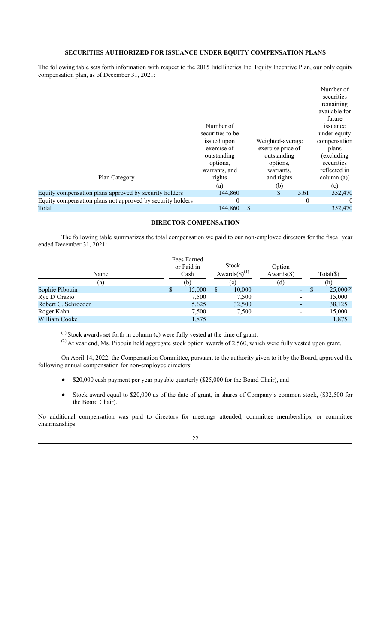# **SECURITIES AUTHORIZED FOR ISSUANCE UNDER EQUITY COMPENSATION PLANS**

The following table sets forth information with respect to the 2015 Intellinetics Inc. Equity Incentive Plan, our only equity compensation plan, as of December 31, 2021:

| Plan Category                                              | Number of<br>securities to be<br>issued upon<br>exercise of<br>outstanding<br>options,<br>warrants, and<br>rights | Weighted-average<br>exercise price of<br>outstanding<br>options,<br>warrants,<br>and rights |          | Number of<br>securities<br>remaining<br>available for<br>future<br>issuance<br>under equity<br>compensation<br>plans<br>(excluding)<br>securities<br>reflected in<br>$\text{column (a))}$ |
|------------------------------------------------------------|-------------------------------------------------------------------------------------------------------------------|---------------------------------------------------------------------------------------------|----------|-------------------------------------------------------------------------------------------------------------------------------------------------------------------------------------------|
|                                                            | (a)                                                                                                               | (b)                                                                                         |          | (c)                                                                                                                                                                                       |
| Equity compensation plans approved by security holders     | 144,860                                                                                                           |                                                                                             | 5.61     | 352,470                                                                                                                                                                                   |
| Equity compensation plans not approved by security holders | $_{0}$                                                                                                            |                                                                                             | $\theta$ | $\Omega$                                                                                                                                                                                  |
| Total                                                      | 144,860                                                                                                           | \$                                                                                          |          | 352,470                                                                                                                                                                                   |

# **DIRECTOR COMPENSATION**

The following table summarizes the total compensation we paid to our non-employee directors for the fiscal year ended December 31, 2021:

| Name                | Fees Earned<br>or Paid in<br>Cash |   | Stock<br>Awards $(\text{\$})^{(1)}$ | Option<br>$Awards(\$))$  |   | $Total(\$)$    |
|---------------------|-----------------------------------|---|-------------------------------------|--------------------------|---|----------------|
| (a)                 | (b)                               |   | (c)                                 | (d)                      |   | (h)            |
| Sophie Pibouin      | \$<br>15,000                      | S | 10,000                              | $\overline{\phantom{a}}$ | S | $25,000^{(2)}$ |
| Rye D'Orazio        | 7,500                             |   | 7,500                               | $\overline{\phantom{a}}$ |   | 15,000         |
| Robert C. Schroeder | 5.625                             |   | 32,500                              | $\overline{\phantom{0}}$ |   | 38,125         |
| Roger Kahn          | 7,500                             |   | 7,500                               | $\overline{\phantom{a}}$ |   | 15,000         |
| William Cooke       | 1,875                             |   |                                     |                          |   | 1,875          |

 $(1)$  Stock awards set forth in column (c) were fully vested at the time of grant.

<sup>(2)</sup> At year end, Ms. Pibouin held aggregate stock option awards of 2,560, which were fully vested upon grant.

On April 14, 2022, the Compensation Committee, pursuant to the authority given to it by the Board, approved the following annual compensation for non-employee directors:

- \$20,000 cash payment per year payable quarterly (\$25,000 for the Board Chair), and
- Stock award equal to \$20,000 as of the date of grant, in shares of Company's common stock, (\$32,500 for the Board Chair).

No additional compensation was paid to directors for meetings attended, committee memberships, or committee chairmanships.

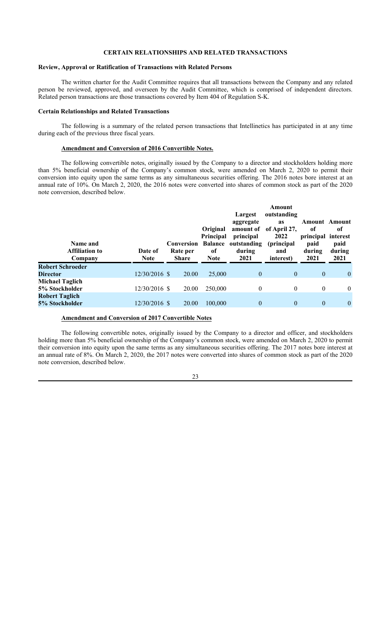## **CERTAIN RELATIONSHIPS AND RELATED TRANSACTIONS**

## **Review, Approval or Ratification of Transactions with Related Persons**

The written charter for the Audit Committee requires that all transactions between the Company and any related person be reviewed, approved, and overseen by the Audit Committee, which is comprised of independent directors. Related person transactions are those transactions covered by Item 404 of Regulation S-K.

#### **Certain Relationships and Related Transactions**

The following is a summary of the related person transactions that Intellinetics has participated in at any time during each of the previous three fiscal years.

## **Amendment and Conversion of 2016 Convertible Notes.**

The following convertible notes, originally issued by the Company to a director and stockholders holding more than 5% beneficial ownership of the Company's common stock, were amended on March 2, 2020 to permit their conversion into equity upon the same terms as any simultaneous securities offering. The 2016 notes bore interest at an annual rate of 10%. On March 2, 2020, the 2016 notes were converted into shares of common stock as part of the 2020 note conversion, described below.

| Name and<br><b>Affiliation to</b><br>Company | Date of<br><b>Note</b> | Conversion<br>Rate per<br><b>Share</b> | Original<br><b>Principal</b><br><b>Balance</b><br>of<br><b>Note</b> | Largest<br>aggregate<br>amount of<br>principal<br>outstanding<br>during<br>2021 | Amount<br>outstanding<br><b>as</b><br>of April 27,<br>2022<br>(principal)<br>and<br>interest) | <b>Amount Amount</b><br>of<br>principal interest<br>paid<br>during<br>2021 | оf<br>paid<br>during<br>2021 |
|----------------------------------------------|------------------------|----------------------------------------|---------------------------------------------------------------------|---------------------------------------------------------------------------------|-----------------------------------------------------------------------------------------------|----------------------------------------------------------------------------|------------------------------|
| <b>Robert Schroeder</b>                      |                        |                                        |                                                                     |                                                                                 |                                                                                               |                                                                            |                              |
| <b>Director</b>                              | $12/30/2016$ \$        | 20.00                                  | 25,000                                                              | $\theta$                                                                        | $\mathbf{0}$                                                                                  | $\overline{0}$                                                             | $\overline{0}$               |
| Michael Taglich                              |                        |                                        |                                                                     |                                                                                 |                                                                                               |                                                                            |                              |
| 5% Stockholder                               | 12/30/2016 \$          | 20.00                                  | 250,000                                                             | $\theta$                                                                        | $\theta$                                                                                      | $\mathbf{0}$                                                               | $\overline{0}$               |
| <b>Robert Taglich</b><br>5% Stockholder      | 12/30/2016 \$          | 20.00                                  | 100,000                                                             | $\mathbf{0}$                                                                    | $\mathbf{0}$                                                                                  | $\mathbf{0}$                                                               | $\overline{0}$               |

## **Amendment and Conversion of 2017 Convertible Notes**

The following convertible notes, originally issued by the Company to a director and officer, and stockholders holding more than 5% beneficial ownership of the Company's common stock, were amended on March 2, 2020 to permit their conversion into equity upon the same terms as any simultaneous securities offering. The 2017 notes bore interest at an annual rate of 8%. On March 2, 2020, the 2017 notes were converted into shares of common stock as part of the 2020 note conversion, described below.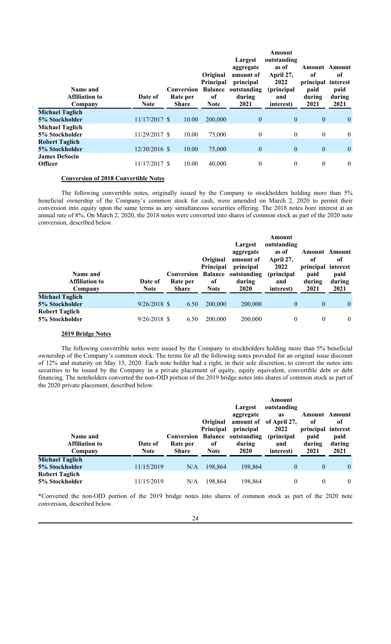| Name and<br><b>Affiliation to</b><br>Company | Date of<br><b>Note</b> | Conversion<br>Rate per<br><b>Share</b> | Original<br>Principal<br><b>Balance</b><br><sub>of</sub><br><b>Note</b> | Largest<br>aggregate<br>amount of<br>principal<br>outstanding<br>during<br>2021 | Amount<br>outstanding<br>as of<br>April 27,<br>2022<br>(principal)<br>and<br>interest) | of<br>principal<br>paid<br>during<br>2021 | <b>Amount</b> Amount<br>of<br>interest<br>paid<br>during<br>2021 |
|----------------------------------------------|------------------------|----------------------------------------|-------------------------------------------------------------------------|---------------------------------------------------------------------------------|----------------------------------------------------------------------------------------|-------------------------------------------|------------------------------------------------------------------|
| <b>Michael Taglich</b>                       |                        |                                        |                                                                         |                                                                                 |                                                                                        |                                           |                                                                  |
| 5% Stockholder                               | 11/17/2017 \$          | 10.00                                  | 200,000                                                                 | $\mathbf{0}$                                                                    | $\overline{0}$                                                                         | $\mathbf{0}$                              | $\theta$                                                         |
| <b>Michael Taglich</b>                       |                        |                                        |                                                                         |                                                                                 |                                                                                        |                                           |                                                                  |
| 5% Stockholder                               | 11/29/2017 \$          | 10.00                                  | 75,000                                                                  | $\mathbf{0}$                                                                    | $\overline{0}$                                                                         | $\mathbf{0}$                              | $\mathbf{0}$                                                     |
| <b>Robert Taglich</b>                        |                        |                                        |                                                                         |                                                                                 |                                                                                        |                                           |                                                                  |
| 5% Stockholder                               | 12/30/2016 \$          | 10.00                                  | 75,000                                                                  | $\mathbf{0}$                                                                    | $\overline{0}$                                                                         | $\mathbf{0}$                              | $\overline{0}$                                                   |
| <b>James DeSocio</b>                         |                        |                                        |                                                                         |                                                                                 |                                                                                        |                                           |                                                                  |
| <b>Officer</b>                               | 11/17/2017 \$          | 10.00                                  | 40,000                                                                  | $\mathbf{0}$                                                                    | $\mathbf{0}$                                                                           | $\mathbf{0}$                              | $\mathbf{0}$                                                     |

### **Conversion of 2018 Convertible Notes**

The following convertible notes, originally issued by the Company to stockholders holding more than 5% beneficial ownership of the Company's common stock for cash, were amended on March 2, 2020 to permit their conversion into equity upon the same terms as any simultaneous securities offering. The 2018 notes bore interest at an annual rate of 8%. On March 2, 2020, the 2018 notes were converted into shares of common stock as part of the 2020 note conversion, described below.

| Name and<br><b>Affiliation to</b><br>Company | Date of<br><b>Note</b> | Conversion<br>Rate per<br><b>Share</b> | Original<br><b>Principal</b><br><b>Balance</b><br>of<br><b>Note</b> | Largest<br>aggregate<br>amount of<br>principal<br>outstanding<br>during<br><b>2020</b> | Amount<br>outstanding<br>as of<br>April 27,<br>2022<br>(principal)<br>and<br>interest) | <b>Amount</b> Amount<br>of<br>principal interest<br>paid<br>during<br>2021 | 0f<br>paid<br>during<br>2021 |
|----------------------------------------------|------------------------|----------------------------------------|---------------------------------------------------------------------|----------------------------------------------------------------------------------------|----------------------------------------------------------------------------------------|----------------------------------------------------------------------------|------------------------------|
| <b>Michael Taglich</b>                       |                        |                                        |                                                                     |                                                                                        |                                                                                        |                                                                            |                              |
| 5% Stockholder                               | $9/26/2018$ \$         | 6.50                                   | 200,000                                                             | 200,000                                                                                | $\overline{0}$                                                                         | $\overline{0}$                                                             | $\overline{0}$               |
| Robert Taglich                               |                        |                                        |                                                                     |                                                                                        |                                                                                        |                                                                            |                              |

## **2019 Bridge Notes**

The following convertible notes were issued by the Company to stockholders holding more than 5% beneficial ownership of the Company's common stock. The terms for all the following notes provided for an original issue discount of 12% and maturity on May 15, 2020. Each note holder had a right, in their sole discretion, to convert the notes into securities to be issued by the Company in a private placement of equity, equity equivalent, convertible debt or debt financing. The noteholders converted the non-OID portion of the 2019 bridge notes into shares of common stock as part of the 2020 private placement, described below.

| Name and<br><b>Affiliation to</b>       | Date of     | Conversion<br>Rate per | Original<br><b>Principal</b><br><b>Balance</b><br>of | Largest<br>aggregate<br>principal<br>outstanding<br>during | Amount<br>outstanding<br><b>as</b><br>amount of of April 27,<br>2022<br>(principal)<br>and | of<br>principal interest<br>paid<br>during | <b>Amount</b> Amount<br>0f<br>paid<br>during |
|-----------------------------------------|-------------|------------------------|------------------------------------------------------|------------------------------------------------------------|--------------------------------------------------------------------------------------------|--------------------------------------------|----------------------------------------------|
| Company                                 | <b>Note</b> | <b>Share</b>           | <b>Note</b>                                          | <b>2020</b>                                                | interest)                                                                                  | 2021                                       | 2021                                         |
| <b>Michael Taglich</b>                  |             |                        |                                                      |                                                            |                                                                                            |                                            |                                              |
| 5% Stockholder                          | 11/15/2019  | N/A                    | 198,864                                              | 198,864                                                    | $\mathbf{0}$                                                                               | $\mathbf{0}$                               | $\overline{0}$                               |
| <b>Robert Taglich</b><br>5% Stockholder | 11/15/2019  | N/A                    | 198,864                                              | 198,864                                                    | 0                                                                                          | $\mathbf{0}$                               | $\overline{0}$                               |

\*Converted the non-OID portion of the 2019 bridge notes into shares of common stock as part of the 2020 note conversion, described below.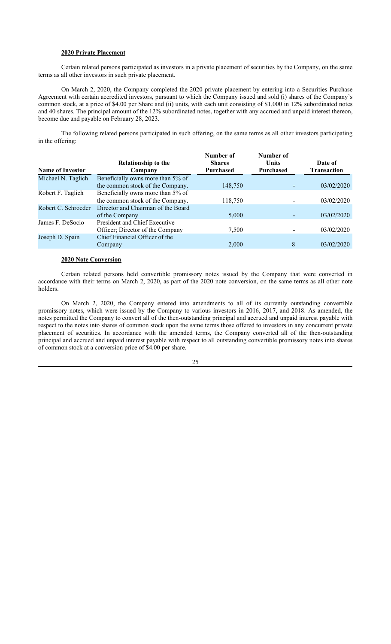## **2020 Private Placement**

Certain related persons participated as investors in a private placement of securities by the Company, on the same terms as all other investors in such private placement.

On March 2, 2020, the Company completed the 2020 private placement by entering into a Securities Purchase Agreement with certain accredited investors, pursuant to which the Company issued and sold (i) shares of the Company's common stock, at a price of \$4.00 per Share and (ii) units, with each unit consisting of \$1,000 in 12% subordinated notes and 40 shares. The principal amount of the 12% subordinated notes, together with any accrued and unpaid interest thereon, become due and payable on February 28, 2023.

The following related persons participated in such offering, on the same terms as all other investors participating in the offering:

| <b>Name of Investor</b> | <b>Relationship to the</b><br>Company | Number of<br><b>Shares</b><br>Purchased | Number of<br><b>Units</b><br><b>Purchased</b> | Date of<br><b>Transaction</b> |
|-------------------------|---------------------------------------|-----------------------------------------|-----------------------------------------------|-------------------------------|
| Michael N. Taglich      | Beneficially owns more than 5% of     |                                         |                                               |                               |
|                         | the common stock of the Company.      | 148,750                                 |                                               | 03/02/2020                    |
| Robert F. Taglich       | Beneficially owns more than 5% of     |                                         |                                               |                               |
|                         | the common stock of the Company.      | 118,750                                 |                                               | 03/02/2020                    |
| Robert C. Schroeder     | Director and Chairman of the Board    |                                         |                                               |                               |
|                         | of the Company                        | 5,000                                   |                                               | 03/02/2020                    |
| James F. DeSocio        | President and Chief Executive         |                                         |                                               |                               |
|                         | Officer; Director of the Company      | 7,500                                   |                                               | 03/02/2020                    |
| Joseph D. Spain         | Chief Financial Officer of the        |                                         |                                               |                               |
|                         | Company                               | 2,000                                   | 8                                             | 03/02/2020                    |
|                         |                                       |                                         |                                               |                               |

### **2020 Note Conversion**

Certain related persons held convertible promissory notes issued by the Company that were converted in accordance with their terms on March 2, 2020, as part of the 2020 note conversion, on the same terms as all other note holders.

On March 2, 2020, the Company entered into amendments to all of its currently outstanding convertible promissory notes, which were issued by the Company to various investors in 2016, 2017, and 2018. As amended, the notes permitted the Company to convert all of the then-outstanding principal and accrued and unpaid interest payable with respect to the notes into shares of common stock upon the same terms those offered to investors in any concurrent private placement of securities. In accordance with the amended terms, the Company converted all of the then-outstanding principal and accrued and unpaid interest payable with respect to all outstanding convertible promissory notes into shares of common stock at a conversion price of \$4.00 per share.

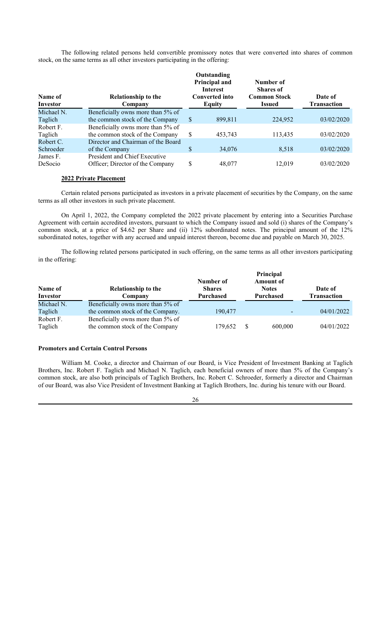The following related persons held convertible promissory notes that were converted into shares of common stock, on the same terms as all other investors participating in the offering:

| Name of<br>Investor | Relationship to the<br>Company     | Outstanding<br>Principal and<br><b>Interest</b><br><b>Converted into</b><br>Equity | Number of<br><b>Shares</b> of<br><b>Common Stock</b><br><b>Issued</b> | Date of<br><b>Transaction</b> |
|---------------------|------------------------------------|------------------------------------------------------------------------------------|-----------------------------------------------------------------------|-------------------------------|
| Michael N.          | Beneficially owns more than 5% of  |                                                                                    |                                                                       |                               |
| Taglich             | the common stock of the Company    | \$<br>899,811                                                                      | 224,952                                                               | 03/02/2020                    |
| Robert F.           | Beneficially owns more than 5% of  |                                                                                    |                                                                       |                               |
| Taglich             | the common stock of the Company    | \$<br>453,743                                                                      | 113,435                                                               | 03/02/2020                    |
| Robert C.           | Director and Chairman of the Board |                                                                                    |                                                                       |                               |
| Schroeder           | of the Company                     | \$<br>34,076                                                                       | 8,518                                                                 | 03/02/2020                    |
| James F.            | President and Chief Executive      |                                                                                    |                                                                       |                               |
| DeSocio             | Officer; Director of the Company   | \$<br>48,077                                                                       | 12,019                                                                | 03/02/2020                    |

## **2022 Private Placement**

Certain related persons participated as investors in a private placement of securities by the Company, on the same terms as all other investors in such private placement.

On April 1, 2022, the Company completed the 2022 private placement by entering into a Securities Purchase Agreement with certain accredited investors, pursuant to which the Company issued and sold (i) shares of the Company's common stock, at a price of \$4.62 per Share and (ii) 12% subordinated notes. The principal amount of the 12% subordinated notes, together with any accrued and unpaid interest thereon, become due and payable on March 30, 2025.

The following related persons participated in such offering, on the same terms as all other investors participating in the offering:

| Name of<br>Investor  | <b>Relationship to the</b><br>Company                                | Number of<br><b>Shares</b><br>Purchased |    | Principal<br><b>Amount of</b><br><b>Notes</b><br><b>Purchased</b> | Date of<br><b>Transaction</b> |
|----------------------|----------------------------------------------------------------------|-----------------------------------------|----|-------------------------------------------------------------------|-------------------------------|
| Michael N.           | Beneficially owns more than 5% of                                    |                                         |    |                                                                   |                               |
| Taglich              | the common stock of the Company.                                     | 190,477                                 |    | $\overline{\phantom{a}}$                                          | 04/01/2022                    |
| Robert F.<br>Taglich | Beneficially owns more than 5% of<br>the common stock of the Company | 179,652                                 | -8 | 600,000                                                           | 04/01/2022                    |

## **Promoters and Certain Control Persons**

William M. Cooke, a director and Chairman of our Board, is Vice President of Investment Banking at Taglich Brothers, Inc. Robert F. Taglich and Michael N. Taglich, each beneficial owners of more than 5% of the Company's common stock, are also both principals of Taglich Brothers, Inc. Robert C. Schroeder, formerly a director and Chairman of our Board, was also Vice President of Investment Banking at Taglich Brothers, Inc. during his tenure with our Board.

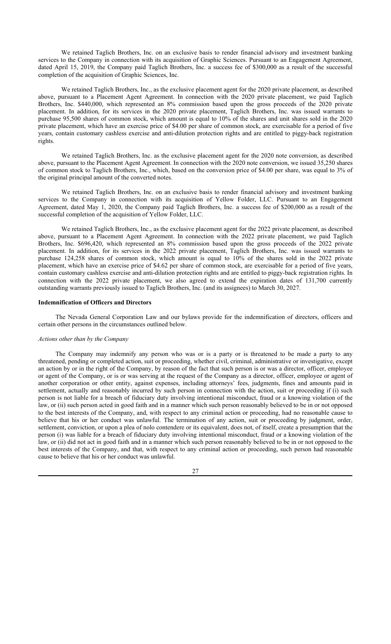We retained Taglich Brothers, Inc. on an exclusive basis to render financial advisory and investment banking services to the Company in connection with its acquisition of Graphic Sciences. Pursuant to an Engagement Agreement, dated April 15, 2019, the Company paid Taglich Brothers, Inc. a success fee of \$300,000 as a result of the successful completion of the acquisition of Graphic Sciences, Inc.

We retained Taglich Brothers, Inc., as the exclusive placement agent for the 2020 private placement, as described above, pursuant to a Placement Agent Agreement. In connection with the 2020 private placement, we paid Taglich Brothers, Inc. \$440,000, which represented an 8% commission based upon the gross proceeds of the 2020 private placement. In addition, for its services in the 2020 private placement, Taglich Brothers, Inc. was issued warrants to purchase 95,500 shares of common stock, which amount is equal to 10% of the shares and unit shares sold in the 2020 private placement, which have an exercise price of \$4.00 per share of common stock, are exercisable for a period of five years, contain customary cashless exercise and anti-dilution protection rights and are entitled to piggy-back registration rights.

We retained Taglich Brothers, Inc. as the exclusive placement agent for the 2020 note conversion, as described above, pursuant to the Placement Agent Agreement. In connection with the 2020 note conversion, we issued 35,250 shares of common stock to Taglich Brothers, Inc., which, based on the conversion price of \$4.00 per share, was equal to 3% of the original principal amount of the converted notes.

We retained Taglich Brothers, Inc. on an exclusive basis to render financial advisory and investment banking services to the Company in connection with its acquisition of Yellow Folder, LLC. Pursuant to an Engagement Agreement, dated May 1, 2020, the Company paid Taglich Brothers, Inc. a success fee of \$200,000 as a result of the successful completion of the acquisition of Yellow Folder, LLC.

We retained Taglich Brothers, Inc., as the exclusive placement agent for the 2022 private placement, as described above, pursuant to a Placement Agent Agreement. In connection with the 2022 private placement, we paid Taglich Brothers, Inc. \$696,420, which represented an 8% commission based upon the gross proceeds of the 2022 private placement. In addition, for its services in the 2022 private placement, Taglich Brothers, Inc. was issued warrants to purchase 124,258 shares of common stock, which amount is equal to 10% of the shares sold in the 2022 private placement, which have an exercise price of \$4.62 per share of common stock, are exercisable for a period of five years, contain customary cashless exercise and anti-dilution protection rights and are entitled to piggy-back registration rights. In connection with the 2022 private placement, we also agreed to extend the expiration dates of 131,700 currently outstanding warrants previously issued to Taglich Brothers, Inc. (and its assignees) to March 30, 2027.

## **Indemnification of Officers and Directors**

The Nevada General Corporation Law and our bylaws provide for the indemnification of directors, officers and certain other persons in the circumstances outlined below.

### *Actions other than by the Company*

The Company may indemnify any person who was or is a party or is threatened to be made a party to any threatened, pending or completed action, suit or proceeding, whether civil, criminal, administrative or investigative, except an action by or in the right of the Company, by reason of the fact that such person is or was a director, officer, employee or agent of the Company, or is or was serving at the request of the Company as a director, officer, employee or agent of another corporation or other entity, against expenses, including attorneys' fees, judgments, fines and amounts paid in settlement, actually and reasonably incurred by such person in connection with the action, suit or proceeding if (i) such person is not liable for a breach of fiduciary duty involving intentional misconduct, fraud or a knowing violation of the law, or (ii) such person acted in good faith and in a manner which such person reasonably believed to be in or not opposed to the best interests of the Company, and, with respect to any criminal action or proceeding, had no reasonable cause to believe that his or her conduct was unlawful. The termination of any action, suit or proceeding by judgment, order, settlement, conviction, or upon a plea of nolo contendere or its equivalent, does not, of itself, create a presumption that the person (i) was liable for a breach of fiduciary duty involving intentional misconduct, fraud or a knowing violation of the law, or (ii) did not act in good faith and in a manner which such person reasonably believed to be in or not opposed to the best interests of the Company, and that, with respect to any criminal action or proceeding, such person had reasonable cause to believe that his or her conduct was unlawful.

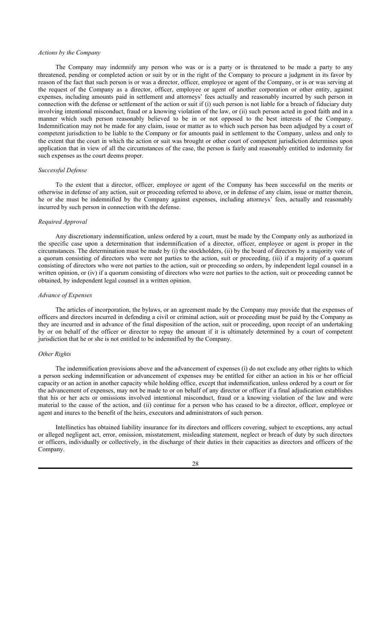### *Actions by the Company*

The Company may indemnify any person who was or is a party or is threatened to be made a party to any threatened, pending or completed action or suit by or in the right of the Company to procure a judgment in its favor by reason of the fact that such person is or was a director, officer, employee or agent of the Company, or is or was serving at the request of the Company as a director, officer, employee or agent of another corporation or other entity, against expenses, including amounts paid in settlement and attorneys' fees actually and reasonably incurred by such person in connection with the defense or settlement of the action or suit if (i) such person is not liable for a breach of fiduciary duty involving intentional misconduct, fraud or a knowing violation of the law, or (ii) such person acted in good faith and in a manner which such person reasonably believed to be in or not opposed to the best interests of the Company. Indemnification may not be made for any claim, issue or matter as to which such person has been adjudged by a court of competent jurisdiction to be liable to the Company or for amounts paid in settlement to the Company, unless and only to the extent that the court in which the action or suit was brought or other court of competent jurisdiction determines upon application that in view of all the circumstances of the case, the person is fairly and reasonably entitled to indemnity for such expenses as the court deems proper.

## *Successful Defense*

To the extent that a director, officer, employee or agent of the Company has been successful on the merits or otherwise in defense of any action, suit or proceeding referred to above, or in defense of any claim, issue or matter therein, he or she must be indemnified by the Company against expenses, including attorneys' fees, actually and reasonably incurred by such person in connection with the defense.

## *Required Approval*

Any discretionary indemnification, unless ordered by a court, must be made by the Company only as authorized in the specific case upon a determination that indemnification of a director, officer, employee or agent is proper in the circumstances. The determination must be made by (i) the stockholders, (ii) by the board of directors by a majority vote of a quorum consisting of directors who were not parties to the action, suit or proceeding, (iii) if a majority of a quorum consisting of directors who were not parties to the action, suit or proceeding so orders, by independent legal counsel in a written opinion, or (iv) if a quorum consisting of directors who were not parties to the action, suit or proceeding cannot be obtained, by independent legal counsel in a written opinion.

## *Advance of Expenses*

The articles of incorporation, the bylaws, or an agreement made by the Company may provide that the expenses of officers and directors incurred in defending a civil or criminal action, suit or proceeding must be paid by the Company as they are incurred and in advance of the final disposition of the action, suit or proceeding, upon receipt of an undertaking by or on behalf of the officer or director to repay the amount if it is ultimately determined by a court of competent jurisdiction that he or she is not entitled to be indemnified by the Company.

## *Other Rights*

The indemnification provisions above and the advancement of expenses (i) do not exclude any other rights to which a person seeking indemnification or advancement of expenses may be entitled for either an action in his or her official capacity or an action in another capacity while holding office, except that indemnification, unless ordered by a court or for the advancement of expenses, may not be made to or on behalf of any director or officer if a final adjudication establishes that his or her acts or omissions involved intentional misconduct, fraud or a knowing violation of the law and were material to the cause of the action, and (ii) continue for a person who has ceased to be a director, officer, employee or agent and inures to the benefit of the heirs, executors and administrators of such person.

Intellinetics has obtained liability insurance for its directors and officers covering, subject to exceptions, any actual or alleged negligent act, error, omission, misstatement, misleading statement, neglect or breach of duty by such directors or officers, individually or collectively, in the discharge of their duties in their capacities as directors and officers of the Company.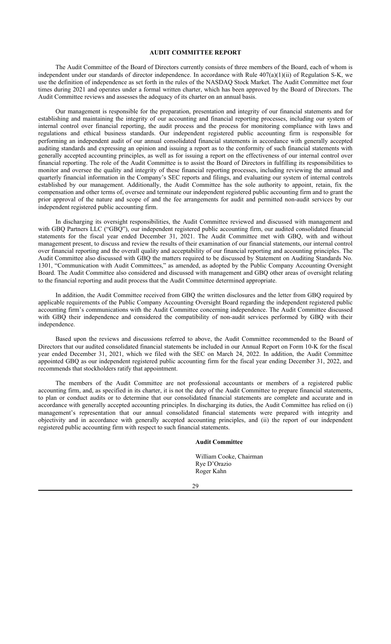## **AUDIT COMMITTEE REPORT**

The Audit Committee of the Board of Directors currently consists of three members of the Board, each of whom is independent under our standards of director independence. In accordance with Rule 407(a)(1)(ii) of Regulation S-K, we use the definition of independence as set forth in the rules of the NASDAQ Stock Market. The Audit Committee met four times during 2021 and operates under a formal written charter, which has been approved by the Board of Directors. The Audit Committee reviews and assesses the adequacy of its charter on an annual basis.

Our management is responsible for the preparation, presentation and integrity of our financial statements and for establishing and maintaining the integrity of our accounting and financial reporting processes, including our system of internal control over financial reporting, the audit process and the process for monitoring compliance with laws and regulations and ethical business standards. Our independent registered public accounting firm is responsible for performing an independent audit of our annual consolidated financial statements in accordance with generally accepted auditing standards and expressing an opinion and issuing a report as to the conformity of such financial statements with generally accepted accounting principles, as well as for issuing a report on the effectiveness of our internal control over financial reporting. The role of the Audit Committee is to assist the Board of Directors in fulfilling its responsibilities to monitor and oversee the quality and integrity of these financial reporting processes, including reviewing the annual and quarterly financial information in the Company's SEC reports and filings, and evaluating our system of internal controls established by our management. Additionally, the Audit Committee has the sole authority to appoint, retain, fix the compensation and other terms of, oversee and terminate our independent registered public accounting firm and to grant the prior approval of the nature and scope of and the fee arrangements for audit and permitted non-audit services by our independent registered public accounting firm.

In discharging its oversight responsibilities, the Audit Committee reviewed and discussed with management and with GBQ Partners LLC ("GBQ"), our independent registered public accounting firm, our audited consolidated financial statements for the fiscal year ended December 31, 2021. The Audit Committee met with GBQ, with and without management present, to discuss and review the results of their examination of our financial statements, our internal control over financial reporting and the overall quality and acceptability of our financial reporting and accounting principles. The Audit Committee also discussed with GBQ the matters required to be discussed by Statement on Auditing Standards No. 1301, "Communication with Audit Committees," as amended, as adopted by the Public Company Accounting Oversight Board. The Audit Committee also considered and discussed with management and GBQ other areas of oversight relating to the financial reporting and audit process that the Audit Committee determined appropriate.

In addition, the Audit Committee received from GBQ the written disclosures and the letter from GBQ required by applicable requirements of the Public Company Accounting Oversight Board regarding the independent registered public accounting firm's communications with the Audit Committee concerning independence. The Audit Committee discussed with GBQ their independence and considered the compatibility of non-audit services performed by GBQ with their independence.

Based upon the reviews and discussions referred to above, the Audit Committee recommended to the Board of Directors that our audited consolidated financial statements be included in our Annual Report on Form 10-K for the fiscal year ended December 31, 2021, which we filed with the SEC on March 24, 2022. In addition, the Audit Committee appointed GBQ as our independent registered public accounting firm for the fiscal year ending December 31, 2022, and recommends that stockholders ratify that appointment.

The members of the Audit Committee are not professional accountants or members of a registered public accounting firm, and, as specified in its charter, it is not the duty of the Audit Committee to prepare financial statements, to plan or conduct audits or to determine that our consolidated financial statements are complete and accurate and in accordance with generally accepted accounting principles. In discharging its duties, the Audit Committee has relied on (i) management's representation that our annual consolidated financial statements were prepared with integrity and objectivity and in accordance with generally accepted accounting principles, and (ii) the report of our independent registered public accounting firm with respect to such financial statements.

## **Audit Committee**

William Cooke, Chairman Rye D'Orazio Roger Kahn

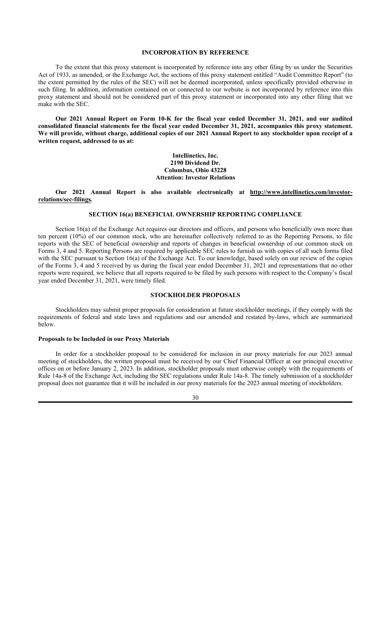## **INCORPORATION BY REFERENCE**

To the extent that this proxy statement is incorporated by reference into any other filing by us under the Securities Act of 1933, as amended, or the Exchange Act, the sections of this proxy statement entitled "Audit Committee Report" (to the extent permitted by the rules of the SEC) will not be deemed incorporated, unless specifically provided otherwise in such filing. In addition, information contained on or connected to our website is not incorporated by reference into this proxy statement and should not be considered part of this proxy statement or incorporated into any other filing that we make with the SEC.

**Our 2021 Annual Report on Form 10-K for the fiscal year ended December 31, 2021, and our audited consolidated financial statements for the fiscal year ended December 31, 2021, accompanies this proxy statement. We will provide, without charge, additional copies of our 2021 Annual Report to any stockholder upon receipt of a written request, addressed to us at:**

> **Intellinetics, Inc. 2190 Dividend Dr. Columbus, Ohio 43228 Attention: Investor Relations**

**Our 2021 Annual Report is also available electronically at http://www.intellinetics.com/investorrelations/sec-filings***.*

#### **SECTION 16(a) BENEFICIAL OWNERSHIP REPORTING COMPLIANCE**

Section 16(a) of the Exchange Act requires our directors and officers, and persons who beneficially own more than ten percent (10%) of our common stock, who are hereinafter collectively referred to as the Reporting Persons, to file reports with the SEC of beneficial ownership and reports of changes in beneficial ownership of our common stock on Forms 3, 4 and 5. Reporting Persons are required by applicable SEC rules to furnish us with copies of all such forms filed with the SEC pursuant to Section 16(a) of the Exchange Act. To our knowledge, based solely on our review of the copies of the Forms 3, 4 and 5 received by us during the fiscal year ended December 31, 2021 and representations that no other reports were required, we believe that all reports required to be filed by such persons with respect to the Company's fiscal year ended December 31, 2021, were timely filed.

## **STOCKHOLDER PROPOSALS**

Stockholders may submit proper proposals for consideration at future stockholder meetings, if they comply with the requirements of federal and state laws and regulations and our amended and restated by-laws, which are summarized below.

### **Proposals to be Included in our Proxy Materials**

In order for a stockholder proposal to be considered for inclusion in our proxy materials for our 2023 annual meeting of stockholders, the written proposal must be received by our Chief Financial Officer at our principal executive offices on or before January 2, 2023. In addition, stockholder proposals must otherwise comply with the requirements of Rule 14a-8 of the Exchange Act, including the SEC regulations under Rule 14a-8. The timely submission of a stockholder proposal does not guarantee that it will be included in our proxy materials for the 2023 annual meeting of stockholders.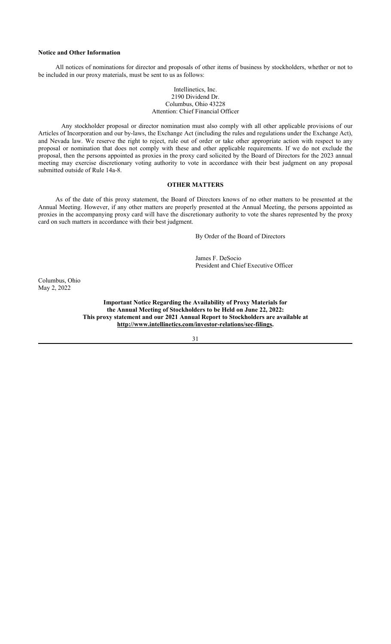# **Notice and Other Information**

All notices of nominations for director and proposals of other items of business by stockholders, whether or not to be included in our proxy materials, must be sent to us as follows:

### Intellinetics, Inc. 2190 Dividend Dr. Columbus, Ohio 43228 Attention: Chief Financial Officer

Any stockholder proposal or director nomination must also comply with all other applicable provisions of our Articles of Incorporation and our by-laws, the Exchange Act (including the rules and regulations under the Exchange Act), and Nevada law. We reserve the right to reject, rule out of order or take other appropriate action with respect to any proposal or nomination that does not comply with these and other applicable requirements. If we do not exclude the proposal, then the persons appointed as proxies in the proxy card solicited by the Board of Directors for the 2023 annual meeting may exercise discretionary voting authority to vote in accordance with their best judgment on any proposal submitted outside of Rule 14a-8.

## **OTHER MATTERS**

As of the date of this proxy statement, the Board of Directors knows of no other matters to be presented at the Annual Meeting. However, if any other matters are properly presented at the Annual Meeting, the persons appointed as proxies in the accompanying proxy card will have the discretionary authority to vote the shares represented by the proxy card on such matters in accordance with their best judgment.

By Order of the Board of Directors

James F. DeSocio President and Chief Executive Officer

Columbus, Ohio May 2, 2022

> **Important Notice Regarding the Availability of Proxy Materials for the Annual Meeting of Stockholders to be Held on June 22, 2022: This proxy statement and our 2021 Annual Report to Stockholders are available at http://www.intellinetics.com/investor-relations/sec-filings.**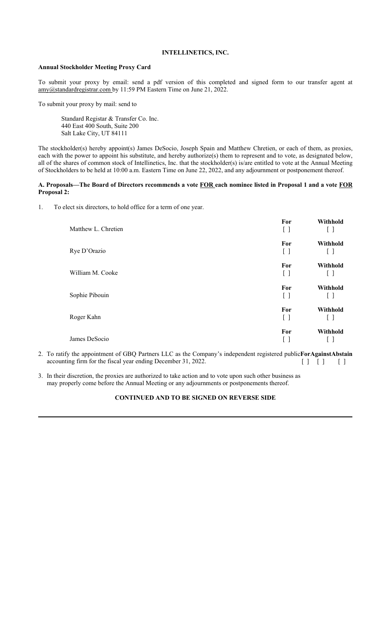# **INTELLINETICS, INC.**

## **Annual Stockholder Meeting Proxy Card**

To submit your proxy by email: send a pdf version of this completed and signed form to our transfer agent at amy@standardregistrar.com by 11:59 PM Eastern Time on June 21, 2022.

To submit your proxy by mail: send to

Standard Registar & Transfer Co. Inc. 440 East 400 South, Suite 200 Salt Lake City, UT 84111

The stockholder(s) hereby appoint(s) James DeSocio, Joseph Spain and Matthew Chretien, or each of them, as proxies, each with the power to appoint his substitute, and hereby authorize(s) them to represent and to vote, as designated below, all of the shares of common stock of Intellinetics, Inc. that the stockholder(s) is/are entitled to vote at the Annual Meeting of Stockholders to be held at 10:00 a.m. Eastern Time on June 22, 2022, and any adjournment or postponement thereof.

## **A. Proposals—The Board of Directors recommends a vote FOR each nominee listed in Proposal 1 and a vote FOR Proposal 2:**

1. To elect six directors, to hold office for a term of one year.

| Matthew L. Chretien | For<br>$[\ ]$                                        | Withhold<br>[ ]          |
|---------------------|------------------------------------------------------|--------------------------|
| Rye D'Orazio        | For<br>$\left[ \begin{array}{c} \end{array} \right]$ | Withhold<br>ιı           |
| William M. Cooke    | For<br>$\mathsf{L}$                                  | Withhold                 |
| Sophie Pibouin      | For<br>LΙ                                            | Withhold<br>$\mathsf{L}$ |
| Roger Kahn          | For<br>U                                             | Withhold                 |
| James DeSocio       | For<br>LΙ                                            | Withhold                 |

- 2. To ratify the appointment of GBQ Partners LLC as the Company's independent registered public **For Against Abstain** accounting firm for the fiscal year ending December 31, 2022.  $[ ] [ ]$ [ ]
- 3. In their discretion, the proxies are authorized to take action and to vote upon such other business as may properly come before the Annual Meeting or any adjournments or postponements thereof.

## **CONTINUED AND TO BE SIGNED ON REVERSE SIDE**